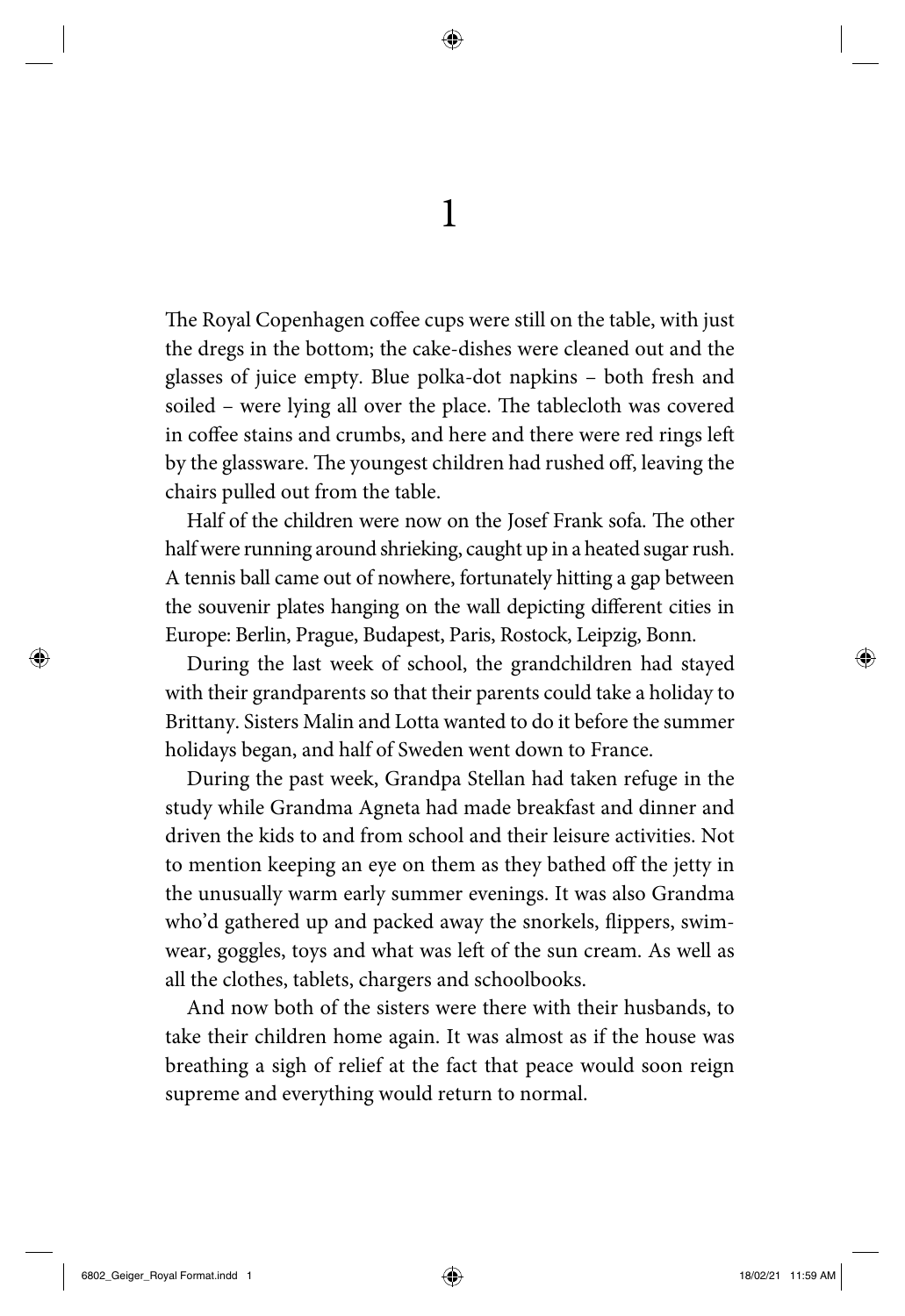◈

1

The Royal Copenhagen coffee cups were still on the table, with just the dregs in the bottom; the cake-dishes were cleaned out and the glasses of juice empty. Blue polka-dot napkins – both fresh and soiled – were lying all over the place. The tablecloth was covered in coffee stains and crumbs, and here and there were red rings left by the glassware. The youngest children had rushed off, leaving the chairs pulled out from the table.

Half of the children were now on the Josef Frank sofa. The other half were running around shrieking, caught up in a heated sugar rush. A tennis ball came out of nowhere, fortunately hitting a gap between the souvenir plates hanging on the wall depicting different cities in Europe: Berlin, Prague, Budapest, Paris, Rostock, Leipzig, Bonn.

During the last week of school, the grandchildren had stayed with their grandparents so that their parents could take a holiday to Brittany. Sisters Malin and Lotta wanted to do it before the summer holidays began, and half of Sweden went down to France.

During the past week, Grandpa Stellan had taken refuge in the study while Grandma Agneta had made breakfast and dinner and driven the kids to and from school and their leisure activities. Not to mention keeping an eye on them as they bathed off the jetty in the unusually warm early summer evenings. It was also Grandma who'd gathered up and packed away the snorkels, flippers, swimwear, goggles, toys and what was left of the sun cream. As well as all the clothes, tablets, chargers and schoolbooks.

And now both of the sisters were there with their husbands, to take their children home again. It was almost as if the house was breathing a sigh of relief at the fact that peace would soon reign supreme and everything would return to normal.

 $\bigcirc$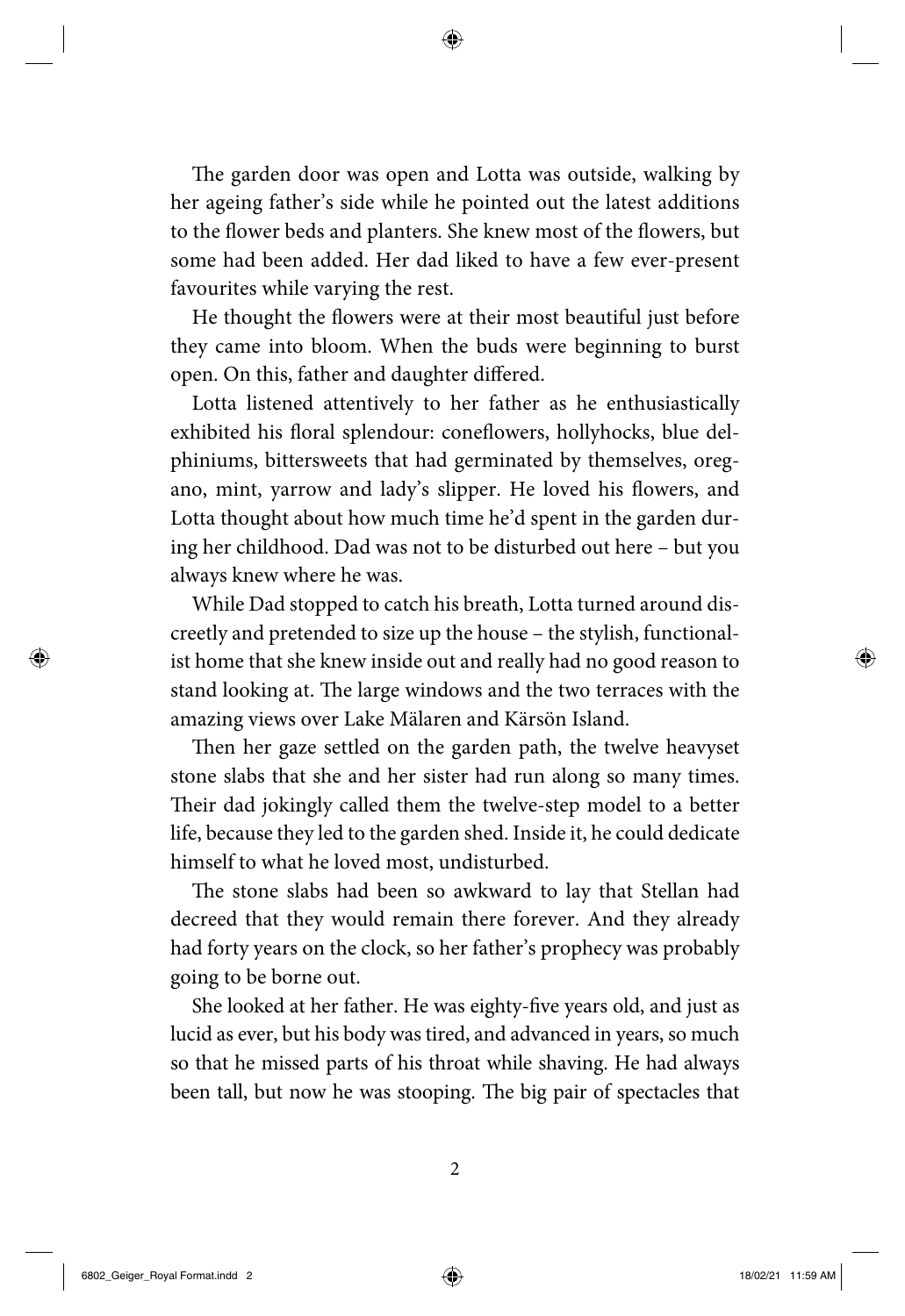The garden door was open and Lotta was outside, walking by her ageing father's side while he pointed out the latest additions to the flower beds and planters. She knew most of the flowers, but some had been added. Her dad liked to have a few ever-present favourites while varying the rest.

⊕

He thought the flowers were at their most beautiful just before they came into bloom. When the buds were beginning to burst open. On this, father and daughter differed.

Lotta listened attentively to her father as he enthusiastically exhibited his floral splendour: coneflowers, hollyhocks, blue delphiniums, bittersweets that had germinated by themselves, oregano, mint, yarrow and lady's slipper. He loved his flowers, and Lotta thought about how much time he'd spent in the garden during her childhood. Dad was not to be disturbed out here – but you always knew where he was.

While Dad stopped to catch his breath, Lotta turned around discreetly and pretended to size up the house – the stylish, functionalist home that she knew inside out and really had no good reason to stand looking at. The large windows and the two terraces with the amazing views over Lake Mälaren and Kärsön Island.

Then her gaze settled on the garden path, the twelve heavyset stone slabs that she and her sister had run along so many times. Their dad jokingly called them the twelve-step model to a better life, because they led to the garden shed. Inside it, he could dedicate himself to what he loved most, undisturbed.

The stone slabs had been so awkward to lay that Stellan had decreed that they would remain there forever. And they already had forty years on the clock, so her father's prophecy was probably going to be borne out.

She looked at her father. He was eighty-five years old, and just as lucid as ever, but his body was tired, and advanced in years, so much so that he missed parts of his throat while shaving. He had always been tall, but now he was stooping. The big pair of spectacles that

2

⊕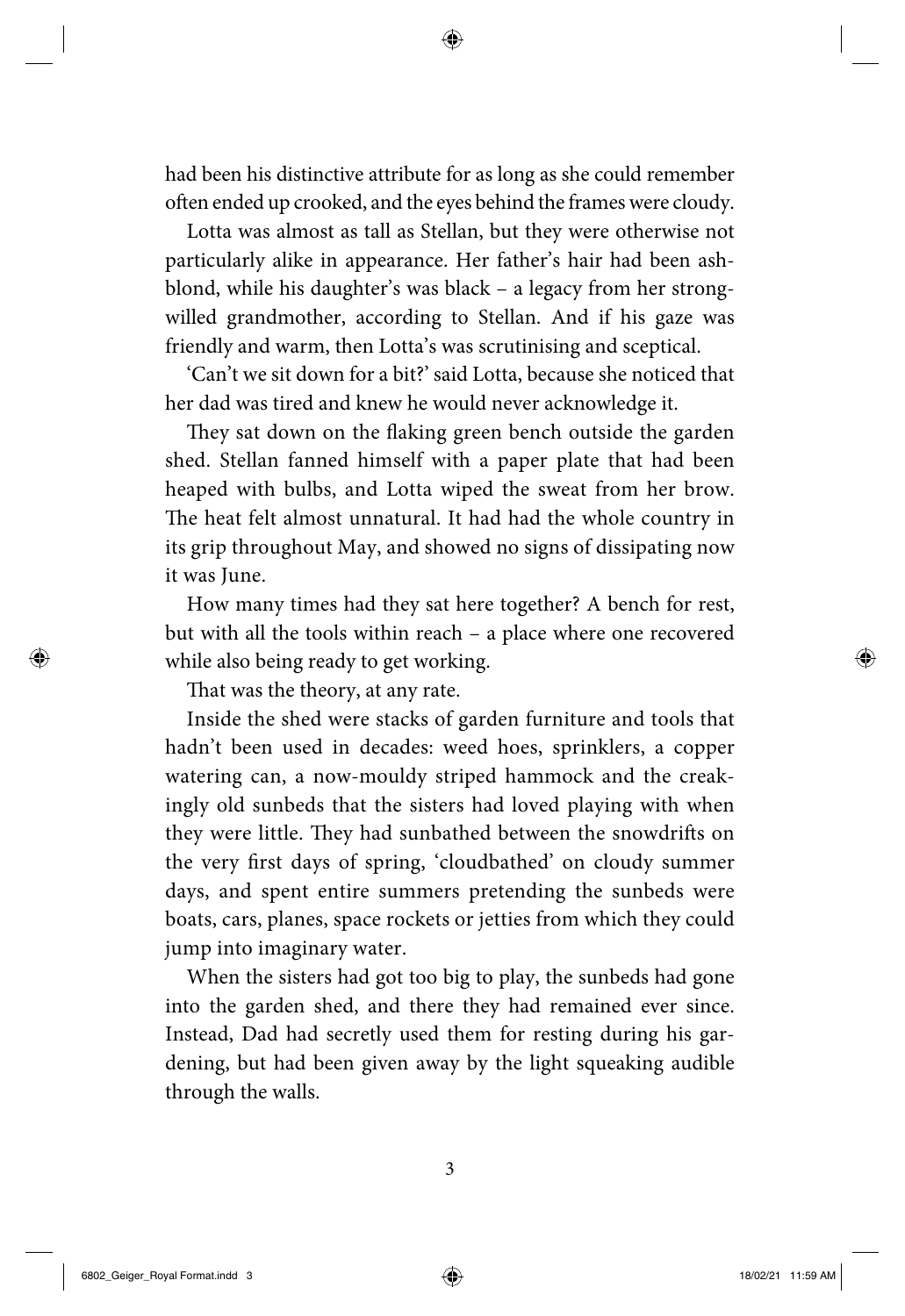had been his distinctive attribute for as long as she could remember often ended up crooked, and the eyes behind the frames were cloudy.

◈

Lotta was almost as tall as Stellan, but they were otherwise not particularly alike in appearance. Her father's hair had been ashblond, while his daughter's was black – a legacy from her strongwilled grandmother, according to Stellan. And if his gaze was friendly and warm, then Lotta's was scrutinising and sceptical.

'Can't we sit down for a bit?' said Lotta, because she noticed that her dad was tired and knew he would never acknowledge it.

They sat down on the flaking green bench outside the garden shed. Stellan fanned himself with a paper plate that had been heaped with bulbs, and Lotta wiped the sweat from her brow. The heat felt almost unnatural. It had had the whole country in its grip throughout May, and showed no signs of dissipating now it was June.

How many times had they sat here together? A bench for rest, but with all the tools within reach – a place where one recovered while also being ready to get working.

That was the theory, at any rate.

Inside the shed were stacks of garden furniture and tools that hadn't been used in decades: weed hoes, sprinklers, a copper watering can, a now-mouldy striped hammock and the creakingly old sunbeds that the sisters had loved playing with when they were little. They had sunbathed between the snowdrifts on the very first days of spring, 'cloudbathed' on cloudy summer days, and spent entire summers pretending the sunbeds were boats, cars, planes, space rockets or jetties from which they could jump into imaginary water.

When the sisters had got too big to play, the sunbeds had gone into the garden shed, and there they had remained ever since. Instead, Dad had secretly used them for resting during his gardening, but had been given away by the light squeaking audible through the walls.

⊕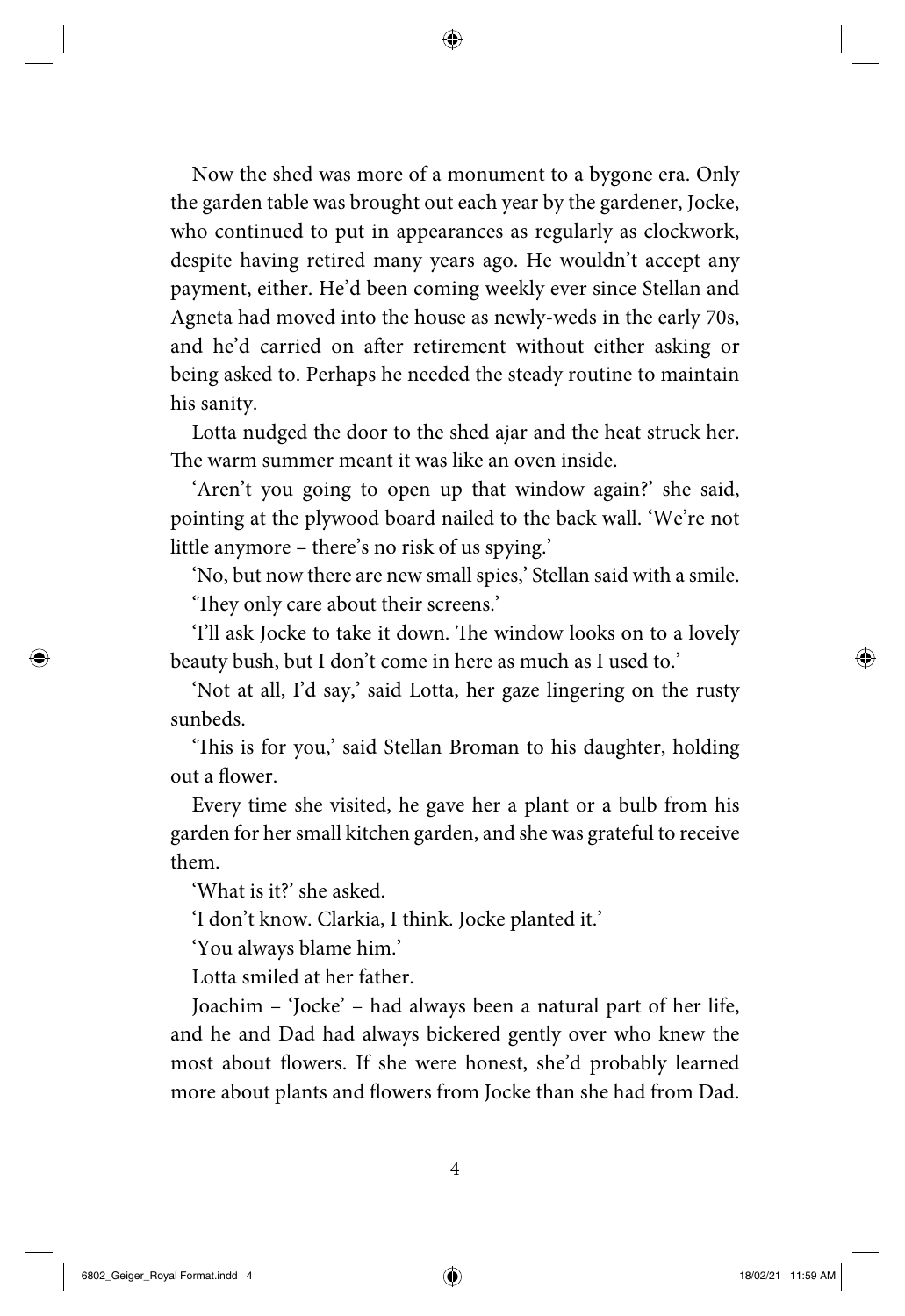Now the shed was more of a monument to a bygone era. Only the garden table was brought out each year by the gardener, Jocke, who continued to put in appearances as regularly as clockwork, despite having retired many years ago. He wouldn't accept any payment, either. He'd been coming weekly ever since Stellan and Agneta had moved into the house as newly-weds in the early 70s, and he'd carried on after retirement without either asking or being asked to. Perhaps he needed the steady routine to maintain his sanity.

◈

Lotta nudged the door to the shed ajar and the heat struck her. The warm summer meant it was like an oven inside.

'Aren't you going to open up that window again?' she said, pointing at the plywood board nailed to the back wall. 'We're not little anymore – there's no risk of us spying.'

'No, but now there are new small spies,' Stellan said with a smile. 'They only care about their screens.'

'I'll ask Jocke to take it down. The window looks on to a lovely beauty bush, but I don't come in here as much as I used to.'

'Not at all, I'd say,' said Lotta, her gaze lingering on the rusty sunbeds.

'This is for you,' said Stellan Broman to his daughter, holding out a flower.

Every time she visited, he gave her a plant or a bulb from his garden for her small kitchen garden, and she was grateful to receive them.

'What is it?' she asked.

'I don't know. Clarkia, I think. Jocke planted it.'

'You always blame him.'

Lotta smiled at her father.

Joachim – 'Jocke' – had always been a natural part of her life, and he and Dad had always bickered gently over who knew the most about flowers. If she were honest, she'd probably learned more about plants and flowers from Jocke than she had from Dad.

⊕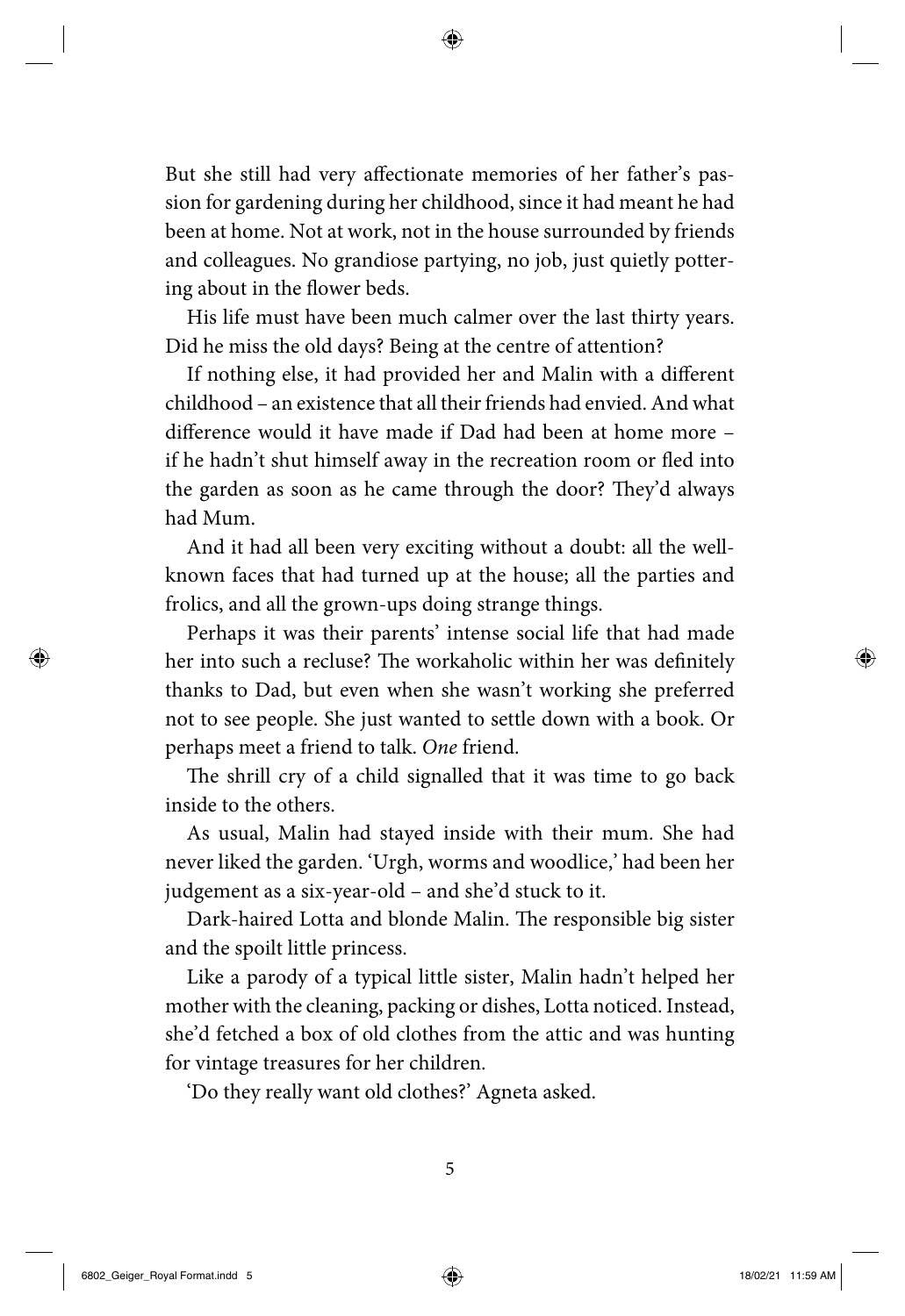But she still had very affectionate memories of her father's passion for gardening during her childhood, since it had meant he had been at home. Not at work, not in the house surrounded by friends and colleagues. No grandiose partying, no job, just quietly pottering about in the flower beds.

◈

His life must have been much calmer over the last thirty years. Did he miss the old days? Being at the centre of attention?

If nothing else, it had provided her and Malin with a different childhood – an existence that all their friends had envied. And what difference would it have made if Dad had been at home more – if he hadn't shut himself away in the recreation room or fled into the garden as soon as he came through the door? They'd always had Mum.

And it had all been very exciting without a doubt: all the wellknown faces that had turned up at the house; all the parties and frolics, and all the grown-ups doing strange things.

Perhaps it was their parents' intense social life that had made her into such a recluse? The workaholic within her was definitely thanks to Dad, but even when she wasn't working she preferred not to see people. She just wanted to settle down with a book. Or perhaps meet a friend to talk. *One* friend.

The shrill cry of a child signalled that it was time to go back inside to the others.

As usual, Malin had stayed inside with their mum. She had never liked the garden. 'Urgh, worms and woodlice,' had been her judgement as a six-year-old – and she'd stuck to it.

Dark-haired Lotta and blonde Malin. The responsible big sister and the spoilt little princess.

Like a parody of a typical little sister, Malin hadn't helped her mother with the cleaning, packing or dishes, Lotta noticed. Instead, she'd fetched a box of old clothes from the attic and was hunting for vintage treasures for her children.

'Do they really want old clothes?' Agneta asked.

5

⊕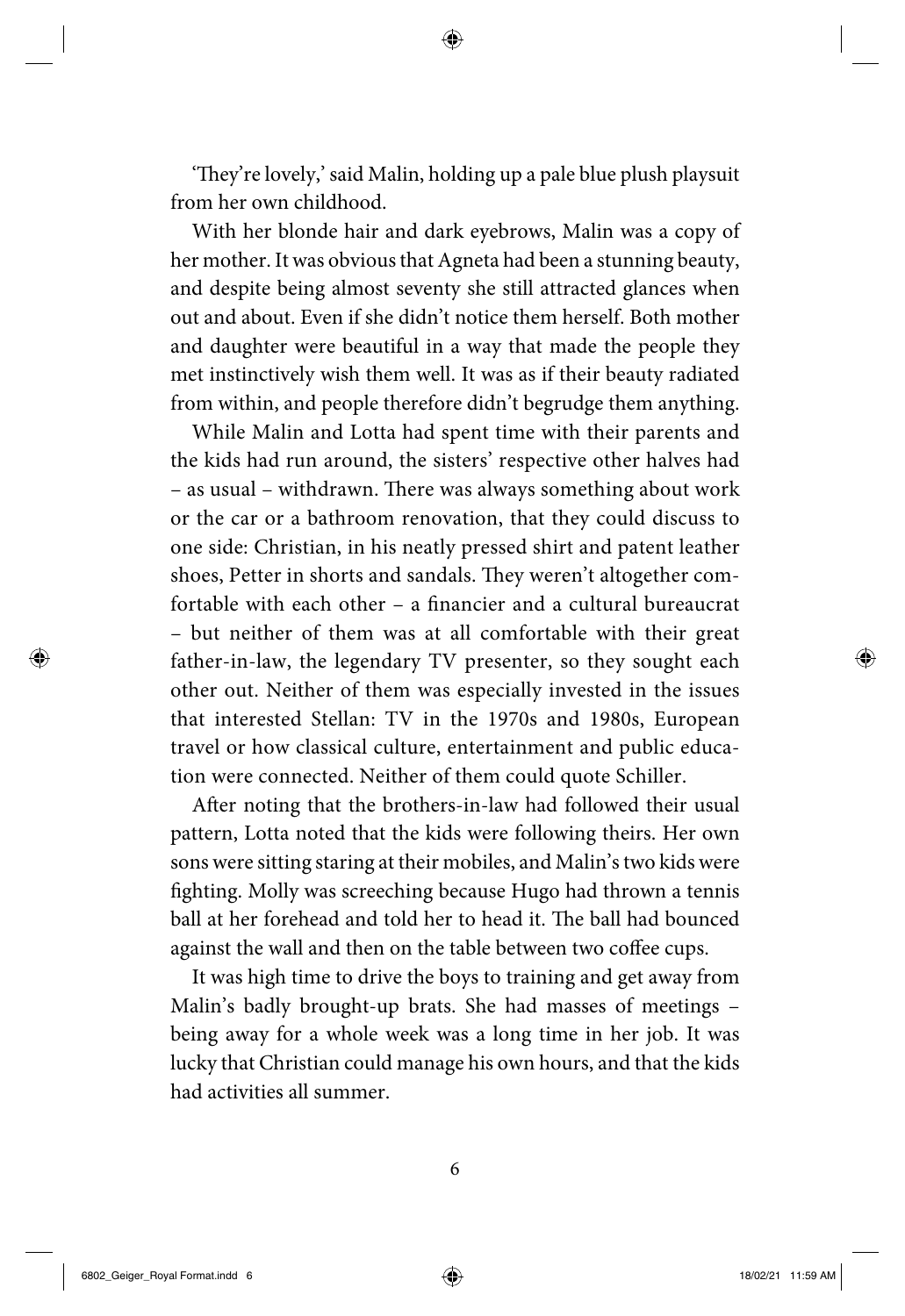'They're lovely,' said Malin, holding up a pale blue plush playsuit from her own childhood.

◈

With her blonde hair and dark eyebrows, Malin was a copy of her mother. It was obvious that Agneta had been a stunning beauty, and despite being almost seventy she still attracted glances when out and about. Even if she didn't notice them herself. Both mother and daughter were beautiful in a way that made the people they met instinctively wish them well. It was as if their beauty radiated from within, and people therefore didn't begrudge them anything.

While Malin and Lotta had spent time with their parents and the kids had run around, the sisters' respective other halves had – as usual – withdrawn. There was always something about work or the car or a bathroom renovation, that they could discuss to one side: Christian, in his neatly pressed shirt and patent leather shoes, Petter in shorts and sandals. They weren't altogether comfortable with each other – a financier and a cultural bureaucrat – but neither of them was at all comfortable with their great father-in-law, the legendary TV presenter, so they sought each other out. Neither of them was especially invested in the issues that interested Stellan: TV in the 1970s and 1980s, European travel or how classical culture, entertainment and public education were connected. Neither of them could quote Schiller.

After noting that the brothers-in-law had followed their usual pattern, Lotta noted that the kids were following theirs. Her own sons were sitting staring at their mobiles, and Malin's two kids were fighting. Molly was screeching because Hugo had thrown a tennis ball at her forehead and told her to head it. The ball had bounced against the wall and then on the table between two coffee cups.

It was high time to drive the boys to training and get away from Malin's badly brought-up brats. She had masses of meetings – being away for a whole week was a long time in her job. It was lucky that Christian could manage his own hours, and that the kids had activities all summer.

6

⊕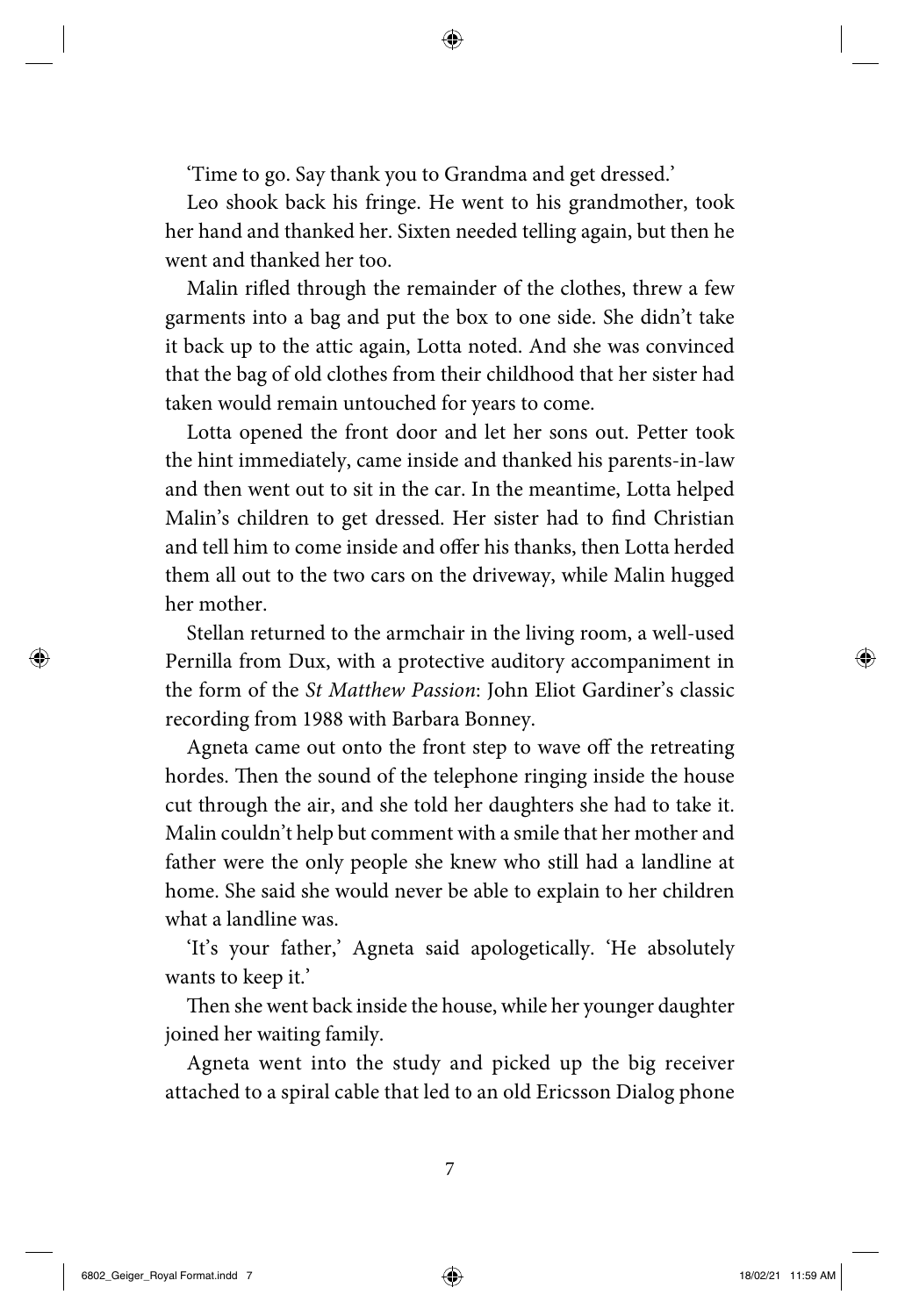'Time to go. Say thank you to Grandma and get dressed.'

Leo shook back his fringe. He went to his grandmother, took her hand and thanked her. Sixten needed telling again, but then he went and thanked her too.

◈

Malin rifled through the remainder of the clothes, threw a few garments into a bag and put the box to one side. She didn't take it back up to the attic again, Lotta noted. And she was convinced that the bag of old clothes from their childhood that her sister had taken would remain untouched for years to come.

Lotta opened the front door and let her sons out. Petter took the hint immediately, came inside and thanked his parents-in-law and then went out to sit in the car. In the meantime, Lotta helped Malin's children to get dressed. Her sister had to find Christian and tell him to come inside and offer his thanks, then Lotta herded them all out to the two cars on the driveway, while Malin hugged her mother.

Stellan returned to the armchair in the living room, a well-used Pernilla from Dux, with a protective auditory accompaniment in the form of the *St Matthew Passion*: John Eliot Gardiner's classic recording from 1988 with Barbara Bonney.

Agneta came out onto the front step to wave off the retreating hordes. Then the sound of the telephone ringing inside the house cut through the air, and she told her daughters she had to take it. Malin couldn't help but comment with a smile that her mother and father were the only people she knew who still had a landline at home. She said she would never be able to explain to her children what a landline was.

'It's your father,' Agneta said apologetically. 'He absolutely wants to keep it.'

Then she went back inside the house, while her younger daughter joined her waiting family.

Agneta went into the study and picked up the big receiver attached to a spiral cable that led to an old Ericsson Dialog phone

⊕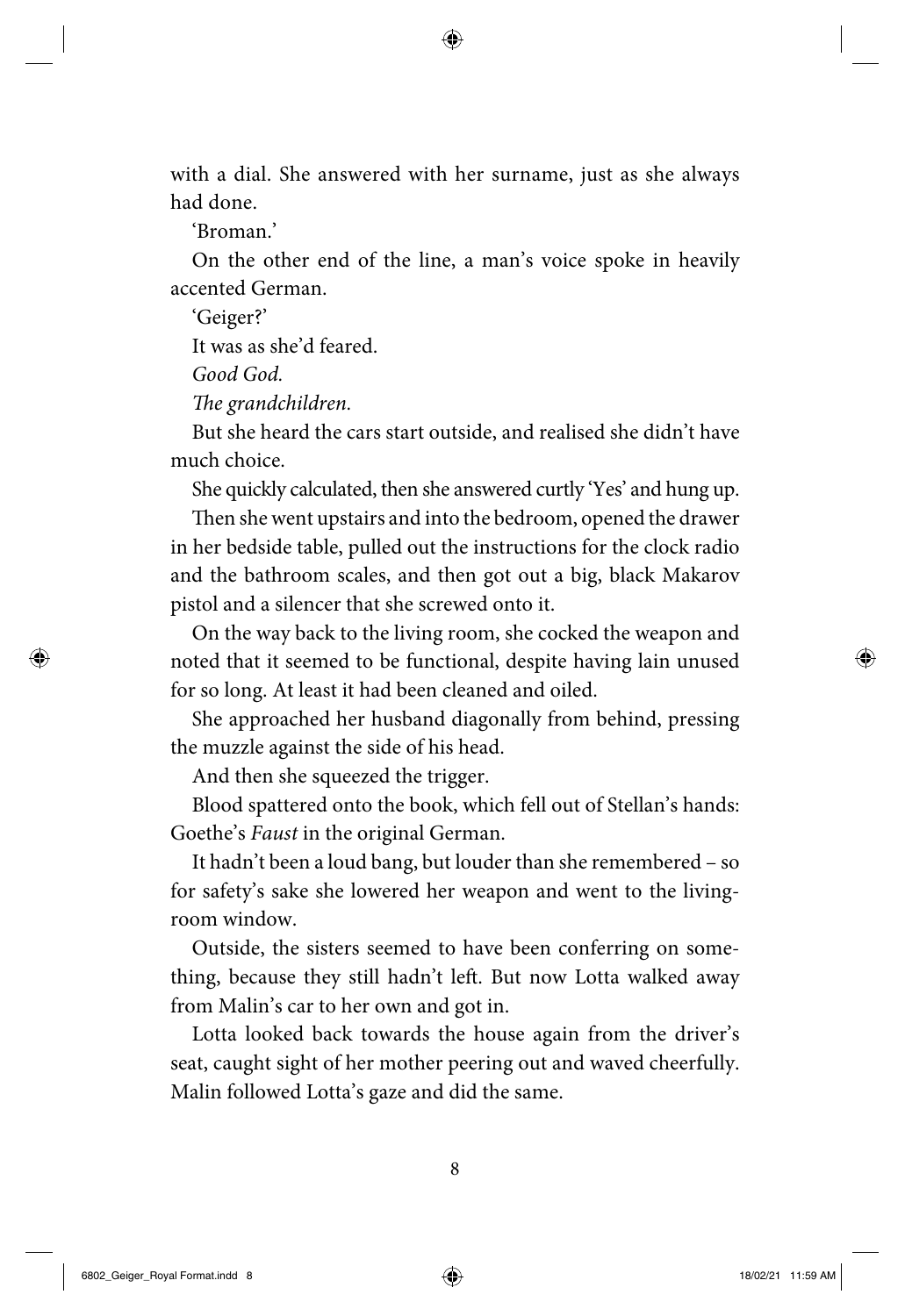with a dial. She answered with her surname, just as she always had done.

◈

'Broman.'

On the other end of the line, a man's voice spoke in heavily accented German.

'Geiger?'

It was as she'd feared.

*Good God.*

⊕

The grandchildren.

But she heard the cars start outside, and realised she didn't have much choice.

She quickly calculated, then she answered curtly 'Yes' and hung up.

Then she went upstairs and into the bedroom, opened the drawer in her bedside table, pulled out the instructions for the clock radio and the bathroom scales, and then got out a big, black Makarov pistol and a silencer that she screwed onto it.

On the way back to the living room, she cocked the weapon and noted that it seemed to be functional, despite having lain unused for so long. At least it had been cleaned and oiled.

She approached her husband diagonally from behind, pressing the muzzle against the side of his head.

And then she squeezed the trigger.

Blood spattered onto the book, which fell out of Stellan's hands: Goethe's *Faust* in the original German.

It hadn't been a loud bang, but louder than she remembered – so for safety's sake she lowered her weapon and went to the livingroom window.

Outside, the sisters seemed to have been conferring on something, because they still hadn't left. But now Lotta walked away from Malin's car to her own and got in.

Lotta looked back towards the house again from the driver's seat, caught sight of her mother peering out and waved cheerfully. Malin followed Lotta's gaze and did the same.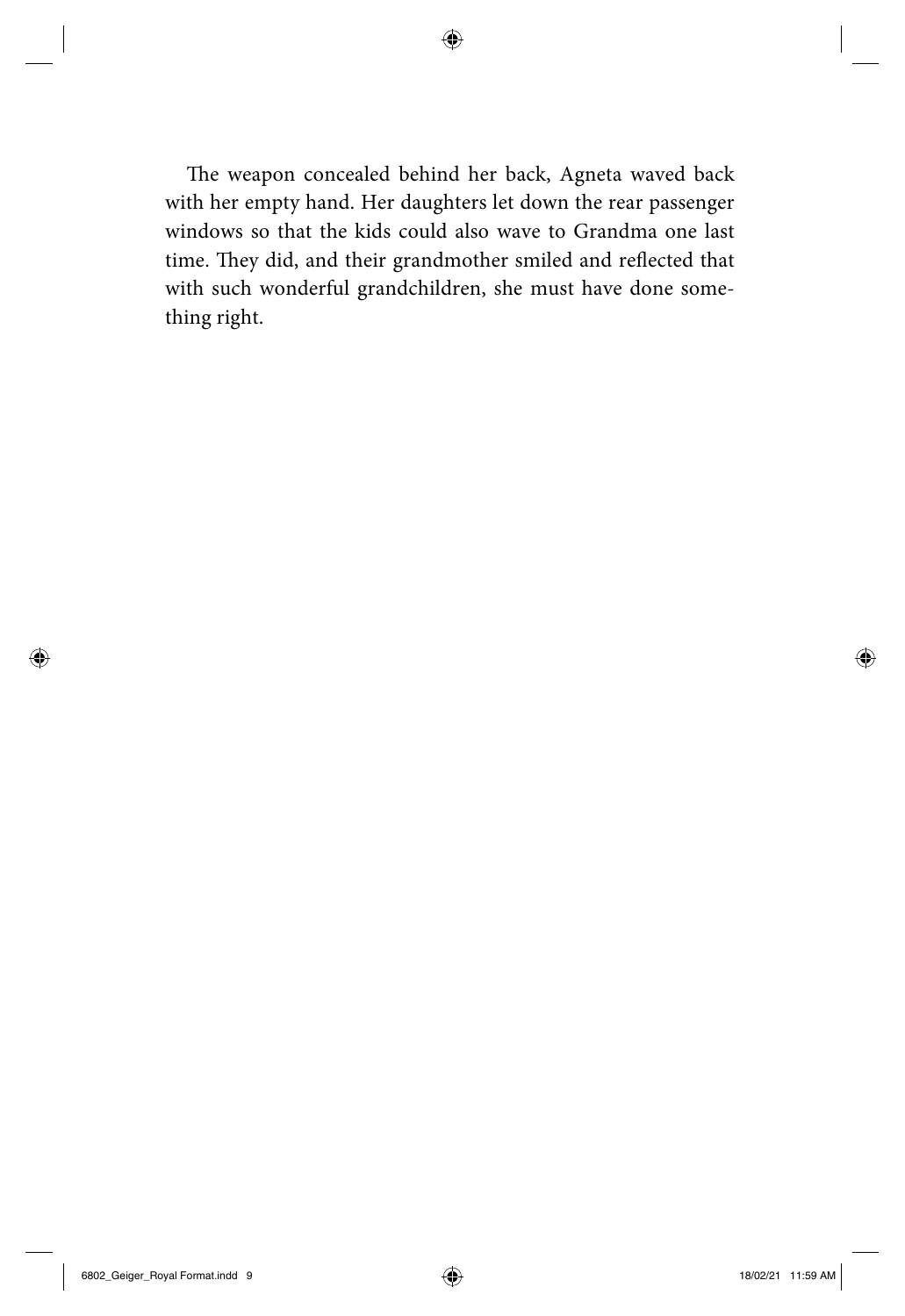The weapon concealed behind her back, Agneta waved back with her empty hand. Her daughters let down the rear passenger windows so that the kids could also wave to Grandma one last time. They did, and their grandmother smiled and reflected that with such wonderful grandchildren, she must have done something right.

 $\bigoplus$ 

 $\bigcirc$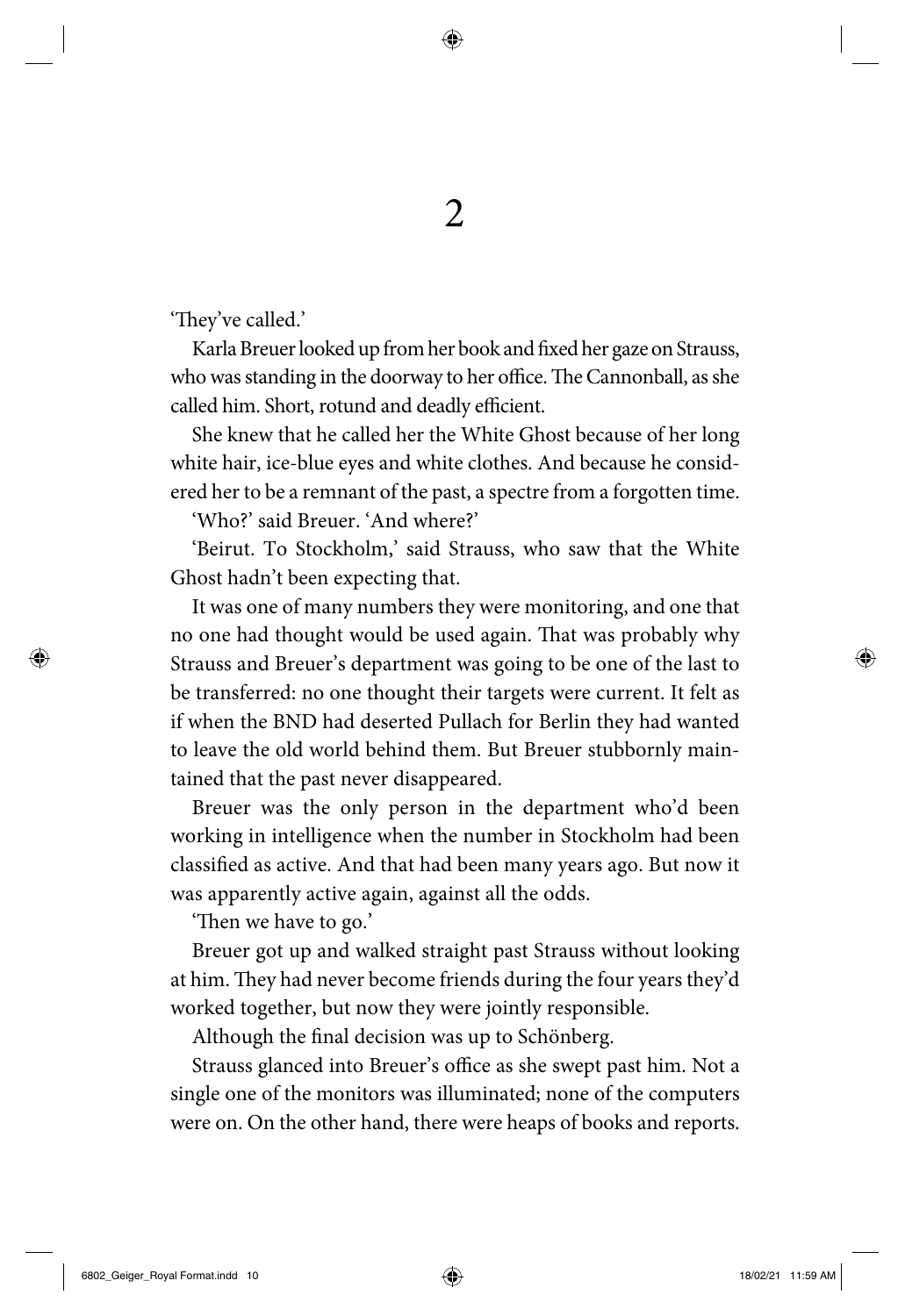⊕

2

'They've called.'

Karla Breuer looked up from her book and fixed her gaze on Strauss, who was standing in the doorway to her office. The Cannonball, as she called him. Short, rotund and deadly efficient.

She knew that he called her the White Ghost because of her long white hair, ice-blue eyes and white clothes. And because he considered her to be a remnant of the past, a spectre from a forgotten time.

'Who?' said Breuer. 'And where?'

'Beirut. To Stockholm,' said Strauss, who saw that the White Ghost hadn't been expecting that.

It was one of many numbers they were monitoring, and one that no one had thought would be used again. That was probably why Strauss and Breuer's department was going to be one of the last to be transferred: no one thought their targets were current. It felt as if when the BND had deserted Pullach for Berlin they had wanted to leave the old world behind them. But Breuer stubbornly maintained that the past never disappeared.

Breuer was the only person in the department who'd been working in intelligence when the number in Stockholm had been classified as active. And that had been many years ago. But now it was apparently active again, against all the odds.

'Then we have to go.'

Breuer got up and walked straight past Strauss without looking at him. They had never become friends during the four years they'd worked together, but now they were jointly responsible.

Although the final decision was up to Schönberg.

Strauss glanced into Breuer's office as she swept past him. Not a single one of the monitors was illuminated; none of the computers were on. On the other hand, there were heaps of books and reports.

⊕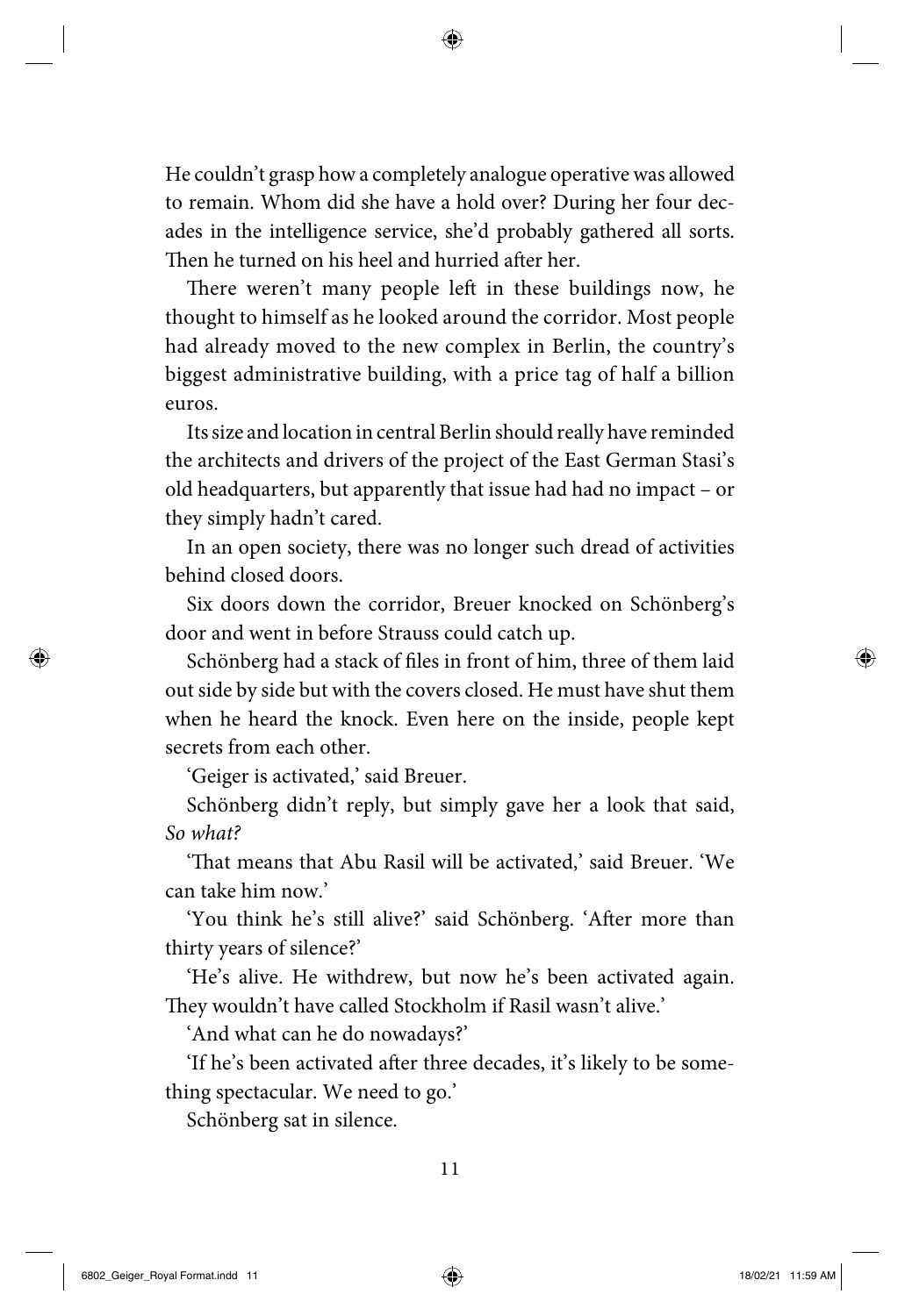He couldn't grasp how a completely analogue operative was allowed to remain. Whom did she have a hold over? During her four decades in the intelligence service, she'd probably gathered all sorts. Then he turned on his heel and hurried after her.

◈

There weren't many people left in these buildings now, he thought to himself as he looked around the corridor. Most people had already moved to the new complex in Berlin, the country's biggest administrative building, with a price tag of half a billion euros.

Its size and location in central Berlin should really have reminded the architects and drivers of the project of the East German Stasi's old headquarters, but apparently that issue had had no impact – or they simply hadn't cared.

In an open society, there was no longer such dread of activities behind closed doors.

Six doors down the corridor, Breuer knocked on Schönberg's door and went in before Strauss could catch up.

Schönberg had a stack of files in front of him, three of them laid out side by side but with the covers closed. He must have shut them when he heard the knock. Even here on the inside, people kept secrets from each other.

'Geiger is activated,' said Breuer.

Schönberg didn't reply, but simply gave her a look that said, *So what?*

'Th at means that Abu Rasil will be activated,' said Breuer. 'We can take him now.'

'You think he's still alive?' said Schönberg. 'After more than thirty years of silence?'

'He's alive. He withdrew, but now he's been activated again. They wouldn't have called Stockholm if Rasil wasn't alive.'

'And what can he do nowadays?'

'If he's been activated after three decades, it's likely to be something spectacular. We need to go.'

Schönberg sat in silence.

 $6802$ Geiger\_Royal Format.indd 11 8022/21 11:59 AM 802\_Geiger\_Royal Format.indd 11

⊕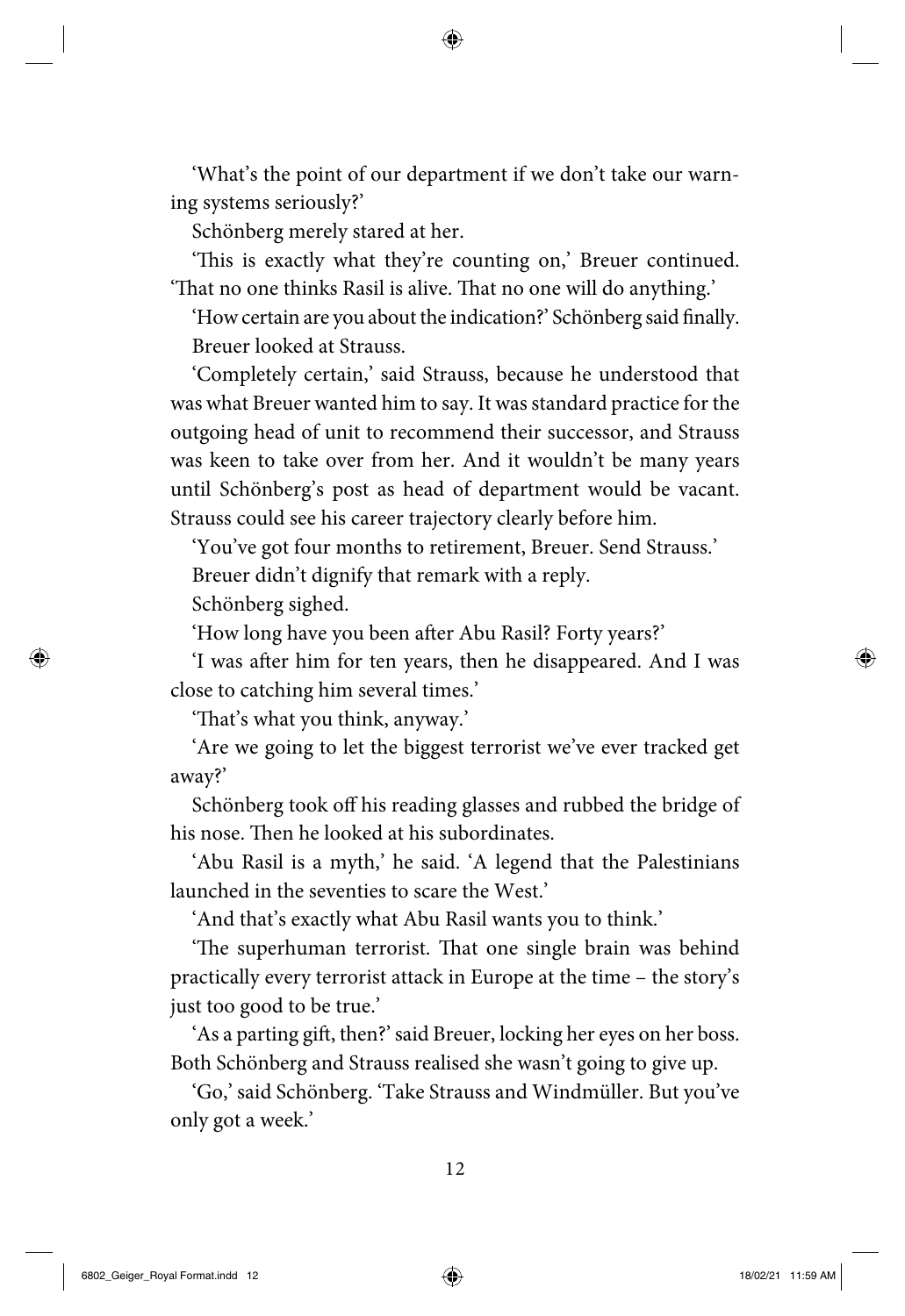'What's the point of our department if we don't take our warning systems seriously?'

◈

Schönberg merely stared at her.

'This is exactly what they're counting on,' Breuer continued. 'That no one thinks Rasil is alive. That no one will do anything.'

'How certain are you about the indication?' Schönberg said finally. Breuer looked at Strauss.

'Completely certain,' said Strauss, because he understood that was what Breuer wanted him to say. It was standard practice for the outgoing head of unit to recommend their successor, and Strauss was keen to take over from her. And it wouldn't be many years until Schönberg's post as head of department would be vacant. Strauss could see his career trajectory clearly before him.

'You've got four months to retirement, Breuer. Send Strauss.'

Breuer didn't dignify that remark with a reply.

Schönberg sighed.

⊕

'How long have you been after Abu Rasil? Forty years?'

'I was after him for ten years, then he disappeared. And I was close to catching him several times.'

'Th at's what you think, anyway.'

'Are we going to let the biggest terrorist we've ever tracked get away?'

Schönberg took off his reading glasses and rubbed the bridge of his nose. Then he looked at his subordinates.

'Abu Rasil is a myth,' he said. 'A legend that the Palestinians launched in the seventies to scare the West.'

'And that's exactly what Abu Rasil wants you to think.'

The superhuman terrorist. That one single brain was behind practically every terrorist attack in Europe at the time – the story's just too good to be true.'

'As a parting gift, then?' said Breuer, locking her eyes on her boss. Both Schönberg and Strauss realised she wasn't going to give up.

'Go,' said Schönberg. 'Take Strauss and Windmüller. But you've only got a week.'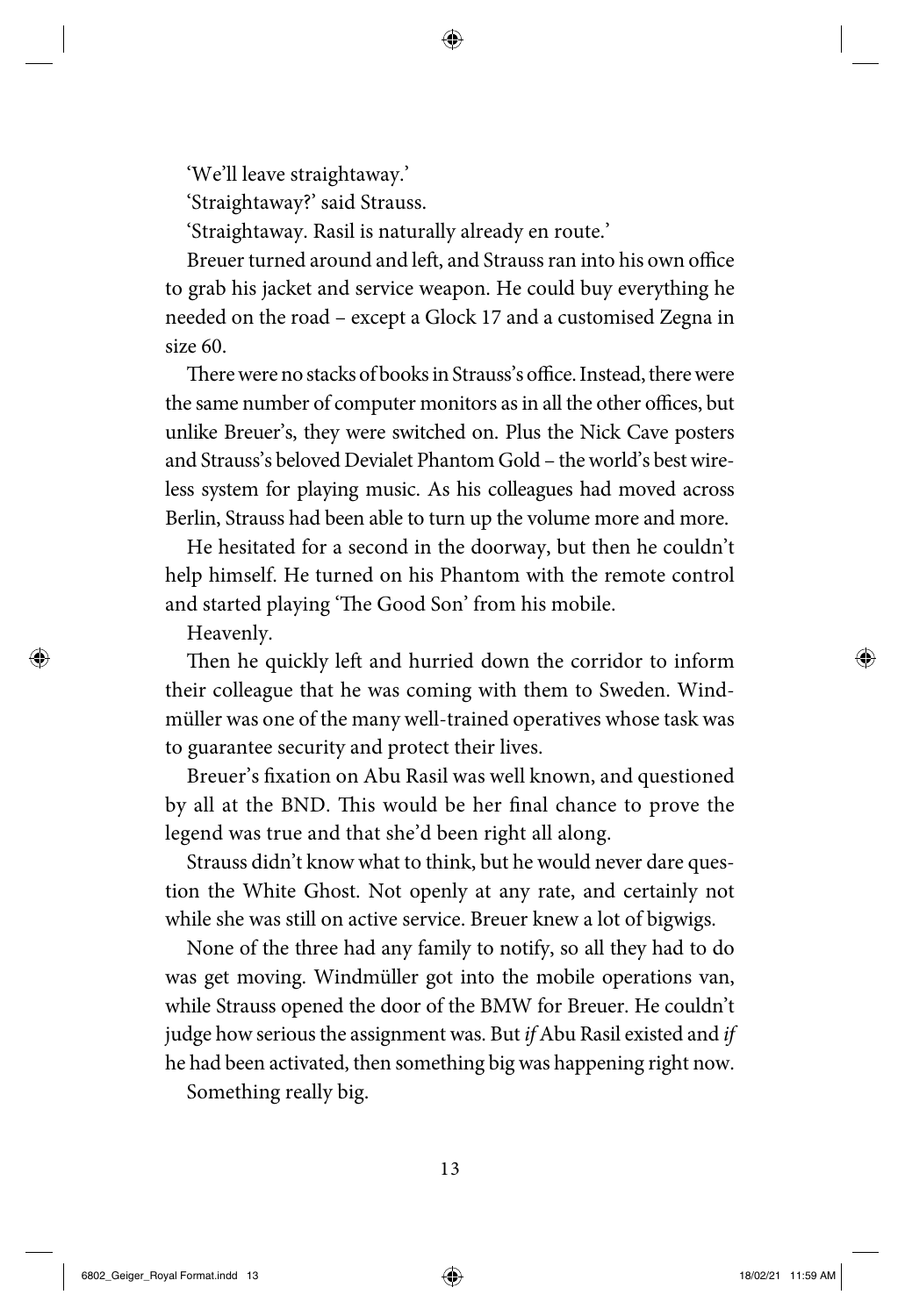'We'll leave straightaway.'

'Straightaway?' said Strauss.

'Straightaway. Rasil is naturally already en route.'

Breuer turned around and left, and Strauss ran into his own office to grab his jacket and service weapon. He could buy everything he needed on the road – except a Glock 17 and a customised Zegna in size 60.

◈

There were no stacks of books in Strauss's office. Instead, there were the same number of computer monitors as in all the other offices, but unlike Breuer's, they were switched on. Plus the Nick Cave posters and Strauss's beloved Devialet Phantom Gold – the world's best wireless system for playing music. As his colleagues had moved across Berlin, Strauss had been able to turn up the volume more and more.

He hesitated for a second in the doorway, but then he couldn't help himself. He turned on his Phantom with the remote control and started playing 'The Good Son' from his mobile.

Heavenly.

⊕

Then he quickly left and hurried down the corridor to inform their colleague that he was coming with them to Sweden. Windmüller was one of the many well-trained operatives whose task was to guarantee security and protect their lives.

Breuer's fixation on Abu Rasil was well known, and questioned by all at the BND. This would be her final chance to prove the legend was true and that she'd been right all along.

Strauss didn't know what to think, but he would never dare question the White Ghost. Not openly at any rate, and certainly not while she was still on active service. Breuer knew a lot of bigwigs.

None of the three had any family to notify, so all they had to do was get moving. Windmüller got into the mobile operations van, while Strauss opened the door of the BMW for Breuer. He couldn't judge how serious the assignment was. But *if* Abu Rasil existed and *if*  he had been activated, then something big was happening right now.

Something really big.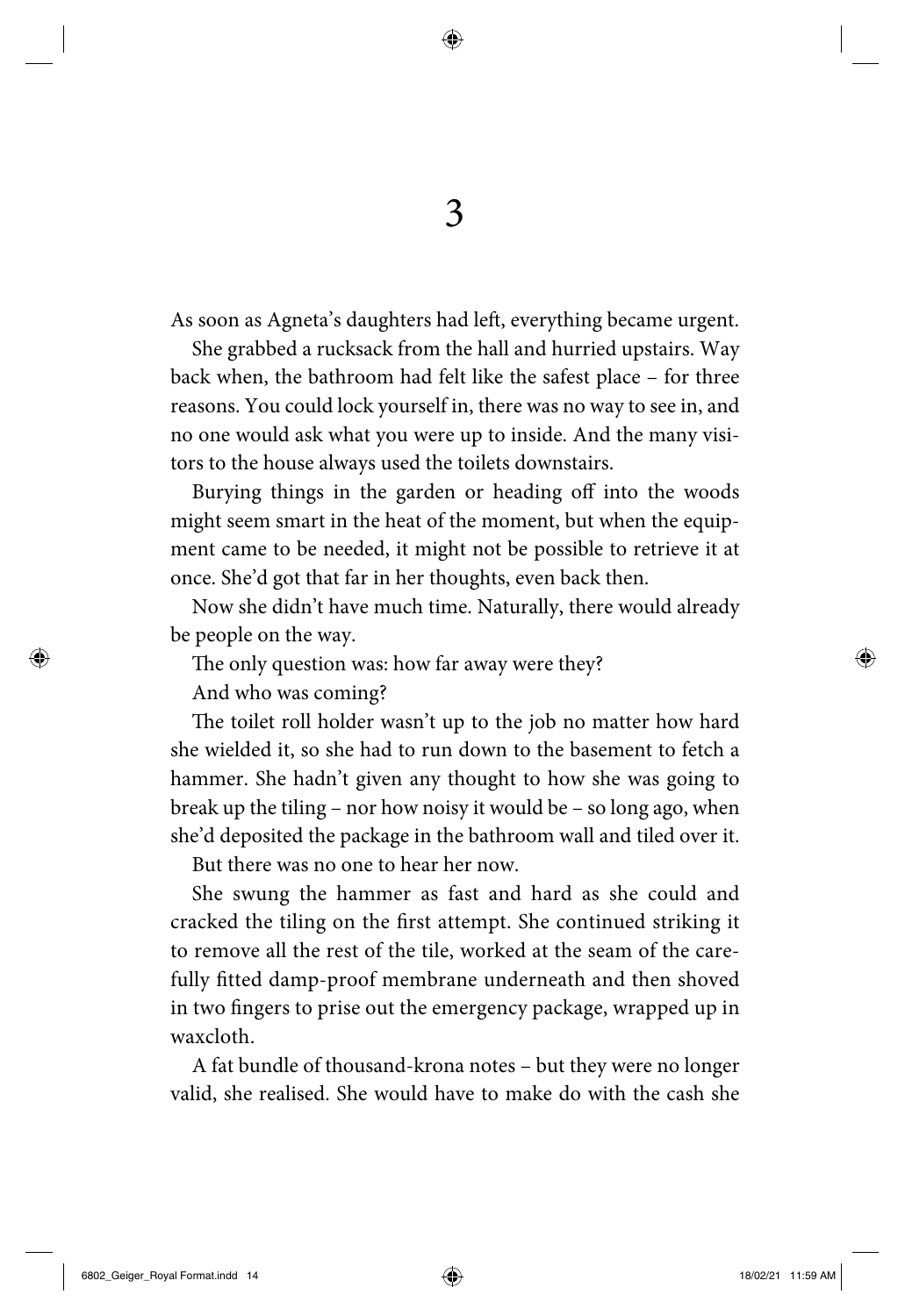⊕

3

As soon as Agneta's daughters had left, everything became urgent.

She grabbed a rucksack from the hall and hurried upstairs. Way back when, the bathroom had felt like the safest place – for three reasons. You could lock yourself in, there was no way to see in, and no one would ask what you were up to inside. And the many visitors to the house always used the toilets downstairs.

Burying things in the garden or heading off into the woods might seem smart in the heat of the moment, but when the equipment came to be needed, it might not be possible to retrieve it at once. She'd got that far in her thoughts, even back then.

Now she didn't have much time. Naturally, there would already be people on the way.

The only question was: how far away were they?

And who was coming?

⊕

The toilet roll holder wasn't up to the job no matter how hard she wielded it, so she had to run down to the basement to fetch a hammer. She hadn't given any thought to how she was going to break up the tiling – nor how noisy it would be – so long ago, when she'd deposited the package in the bathroom wall and tiled over it.

But there was no one to hear her now.

She swung the hammer as fast and hard as she could and cracked the tiling on the first attempt. She continued striking it to remove all the rest of the tile, worked at the seam of the carefully fitted damp-proof membrane underneath and then shoved in two fingers to prise out the emergency package, wrapped up in waxcloth.

A fat bundle of thousand-krona notes – but they were no longer valid, she realised. She would have to make do with the cash she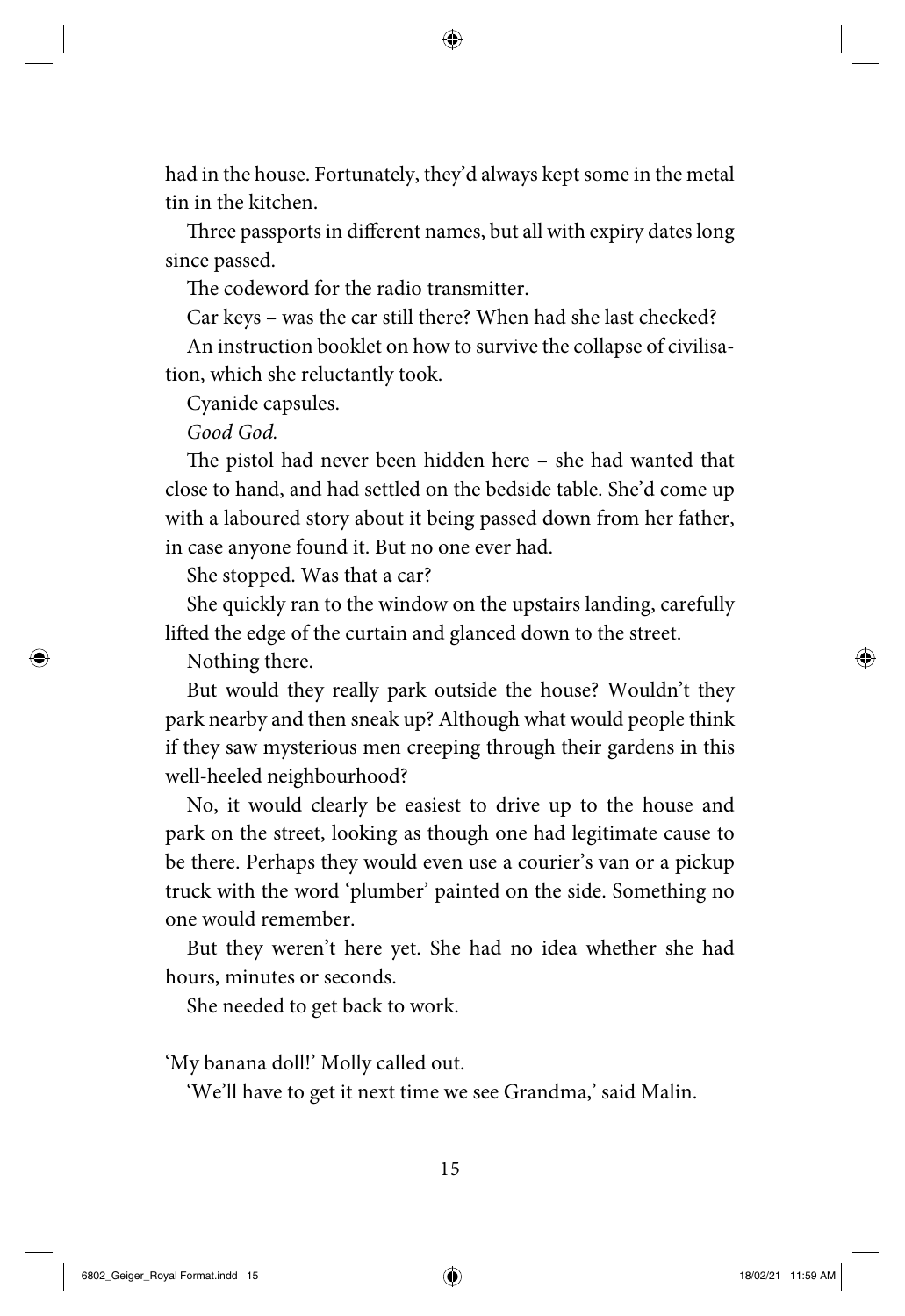had in the house. Fortunately, they'd always kept some in the metal tin in the kitchen.

◈

Three passports in different names, but all with expiry dates long since passed.

The codeword for the radio transmitter.

Car keys – was the car still there? When had she last checked?

An instruction booklet on how to survive the collapse of civilisation, which she reluctantly took.

Cyanide capsules.

*Good God.*

The pistol had never been hidden here – she had wanted that close to hand, and had settled on the bedside table. She'd come up with a laboured story about it being passed down from her father, in case anyone found it. But no one ever had.

She stopped. Was that a car?

She quickly ran to the window on the upstairs landing, carefully lifted the edge of the curtain and glanced down to the street.

Nothing there.

⊕

But would they really park outside the house? Wouldn't they park nearby and then sneak up? Although what would people think if they saw mysterious men creeping through their gardens in this well-heeled neighbourhood?

No, it would clearly be easiest to drive up to the house and park on the street, looking as though one had legitimate cause to be there. Perhaps they would even use a courier's van or a pickup truck with the word 'plumber' painted on the side. Something no one would remember.

But they weren't here yet. She had no idea whether she had hours, minutes or seconds.

She needed to get back to work.

'My banana doll!' Molly called out.

'We'll have to get it next time we see Grandma,' said Malin.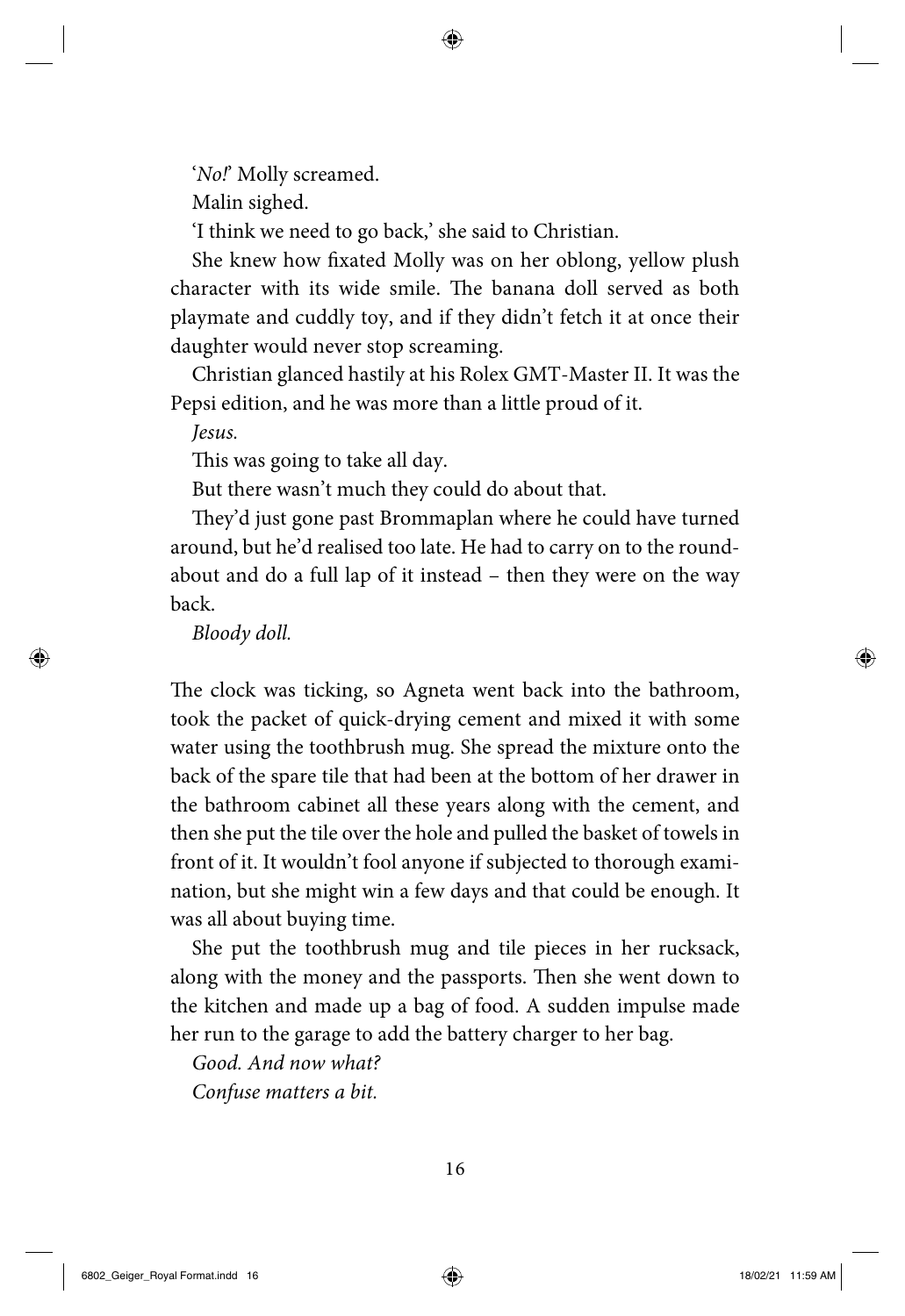'*No!*' Molly screamed.

Malin sighed.

'I think we need to go back,' she said to Christian.

She knew how fixated Molly was on her oblong, yellow plush character with its wide smile. The banana doll served as both playmate and cuddly toy, and if they didn't fetch it at once their daughter would never stop screaming.

◈

Christian glanced hastily at his Rolex GMT-Master II. It was the Pepsi edition, and he was more than a little proud of it.

*Jesus.*

This was going to take all day.

But there wasn't much they could do about that.

They'd just gone past Brommaplan where he could have turned around, but he'd realised too late. He had to carry on to the roundabout and do a full lap of it instead – then they were on the way back.

*Bloody doll.*

⊕

The clock was ticking, so Agneta went back into the bathroom, took the packet of quick-drying cement and mixed it with some water using the toothbrush mug. She spread the mixture onto the back of the spare tile that had been at the bottom of her drawer in the bathroom cabinet all these years along with the cement, and then she put the tile over the hole and pulled the basket of towels in front of it. It wouldn't fool anyone if subjected to thorough examination, but she might win a few days and that could be enough. It was all about buying time.

She put the toothbrush mug and tile pieces in her rucksack, along with the money and the passports. Then she went down to the kitchen and made up a bag of food. A sudden impulse made her run to the garage to add the battery charger to her bag.

*Good. And now what? Confuse matters a bit.*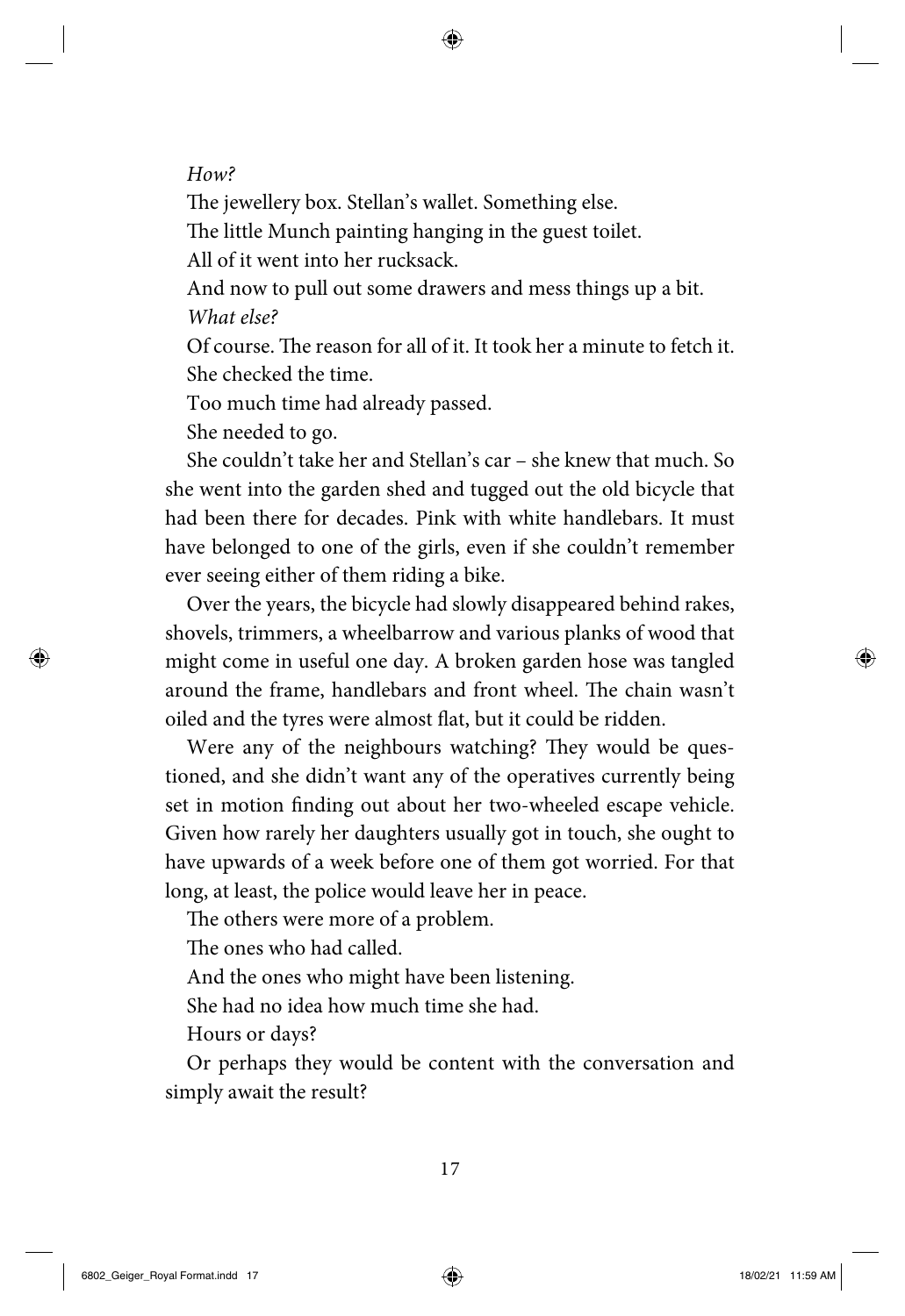## *How?*

The jewellery box. Stellan's wallet. Something else.

The little Munch painting hanging in the guest toilet.

All of it went into her rucksack.

And now to pull out some drawers and mess things up a bit. *What else?*

◈

Of course. The reason for all of it. It took her a minute to fetch it. She checked the time.

Too much time had already passed.

She needed to go.

She couldn't take her and Stellan's car – she knew that much. So she went into the garden shed and tugged out the old bicycle that had been there for decades. Pink with white handlebars. It must have belonged to one of the girls, even if she couldn't remember ever seeing either of them riding a bike.

Over the years, the bicycle had slowly disappeared behind rakes, shovels, trimmers, a wheelbarrow and various planks of wood that might come in useful one day. A broken garden hose was tangled around the frame, handlebars and front wheel. The chain wasn't oiled and the tyres were almost flat, but it could be ridden.

Were any of the neighbours watching? They would be questioned, and she didn't want any of the operatives currently being set in motion finding out about her two-wheeled escape vehicle. Given how rarely her daughters usually got in touch, she ought to have upwards of a week before one of them got worried. For that long, at least, the police would leave her in peace.

The others were more of a problem.

The ones who had called.

And the ones who might have been listening.

She had no idea how much time she had.

Hours or days?

Or perhaps they would be content with the conversation and simply await the result?

6802\_Geiger\_Royal Format.indd 17 8022/21 11:59 AM 802\_Geiger\_Royal Format.indd 17

⊕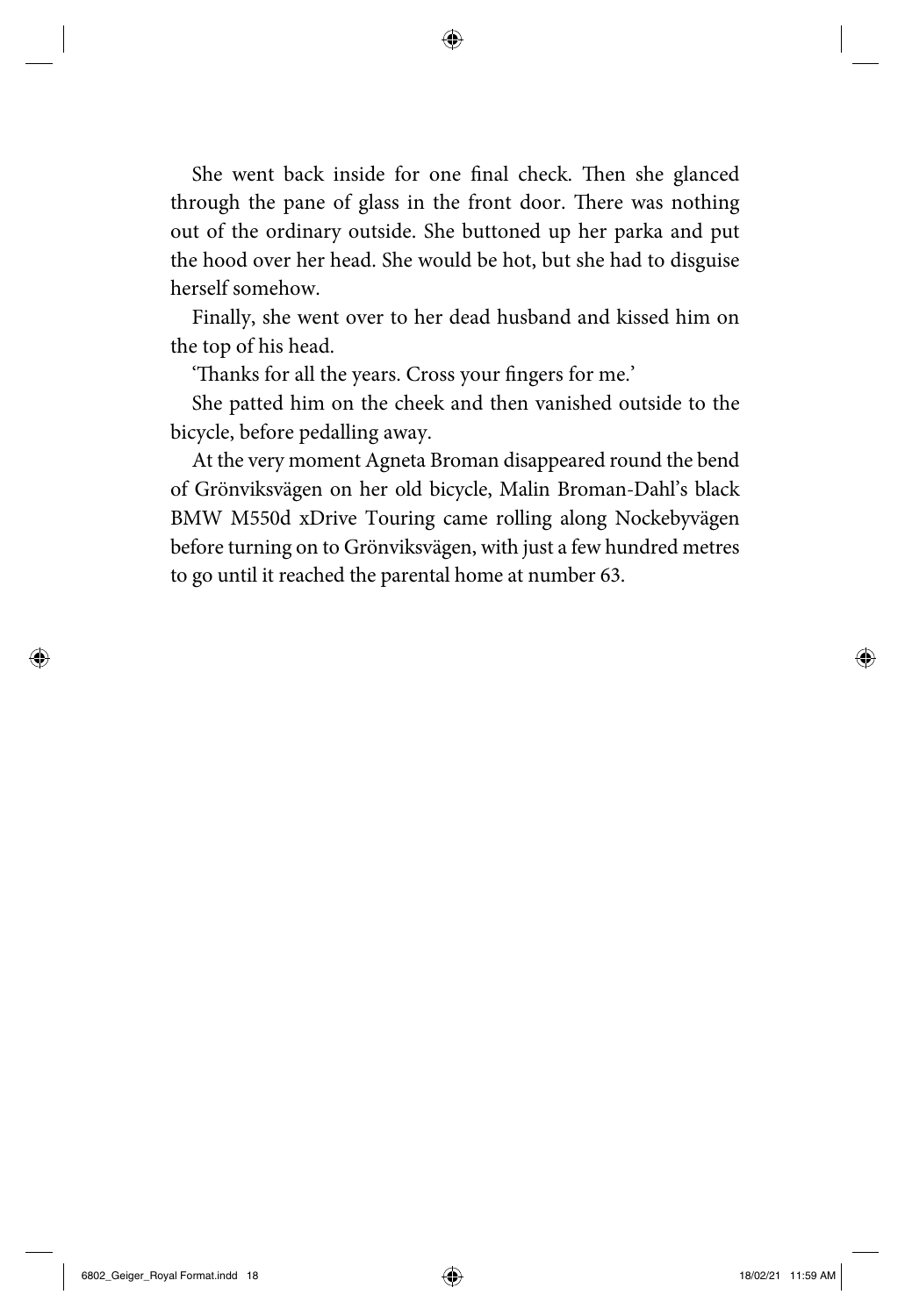She went back inside for one final check. Then she glanced through the pane of glass in the front door. There was nothing out of the ordinary outside. She buttoned up her parka and put the hood over her head. She would be hot, but she had to disguise herself somehow.

◈

Finally, she went over to her dead husband and kissed him on the top of his head.

'Thanks for all the years. Cross your fingers for me.'

She patted him on the cheek and then vanished outside to the bicycle, before pedalling away.

At the very moment Agneta Broman disappeared round the bend of Grönviksvägen on her old bicycle, Malin Broman-Dahl's black BMW M550d xDrive Touring came rolling along Nockebyvägen before turning on to Grönviksvägen, with just a few hundred metres to go until it reached the parental home at number 63.

⊕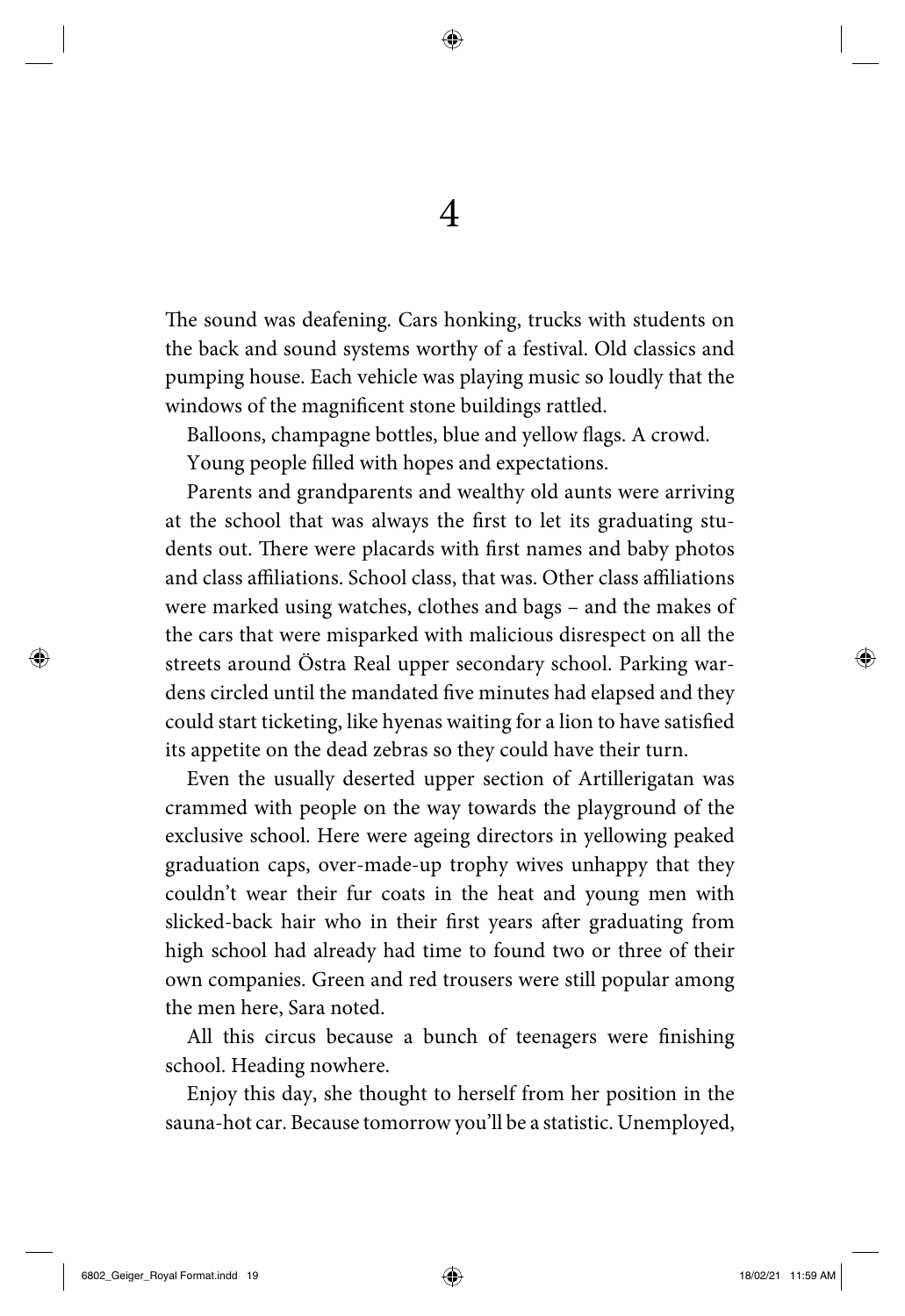◈

4

The sound was deafening. Cars honking, trucks with students on the back and sound systems worthy of a festival. Old classics and pumping house. Each vehicle was playing music so loudly that the windows of the magnificent stone buildings rattled.

Balloons, champagne bottles, blue and yellow flags. A crowd.

Young people filled with hopes and expectations.

Parents and grandparents and wealthy old aunts were arriving at the school that was always the first to let its graduating students out. There were placards with first names and baby photos and class affiliations. School class, that was. Other class affiliations were marked using watches, clothes and bags – and the makes of the cars that were misparked with malicious disrespect on all the streets around Östra Real upper secondary school. Parking wardens circled until the mandated five minutes had elapsed and they could start ticketing, like hyenas waiting for a lion to have satisfied its appetite on the dead zebras so they could have their turn.

Even the usually deserted upper section of Artillerigatan was crammed with people on the way towards the playground of the exclusive school. Here were ageing directors in yellowing peaked graduation caps, over-made-up trophy wives unhappy that they couldn't wear their fur coats in the heat and young men with slicked-back hair who in their first years after graduating from high school had already had time to found two or three of their own companies. Green and red trousers were still popular among the men here, Sara noted.

All this circus because a bunch of teenagers were finishing school. Heading nowhere.

Enjoy this day, she thought to herself from her position in the sauna-hot car. Because tomorrow you'll be a statistic. Unemployed,

⊕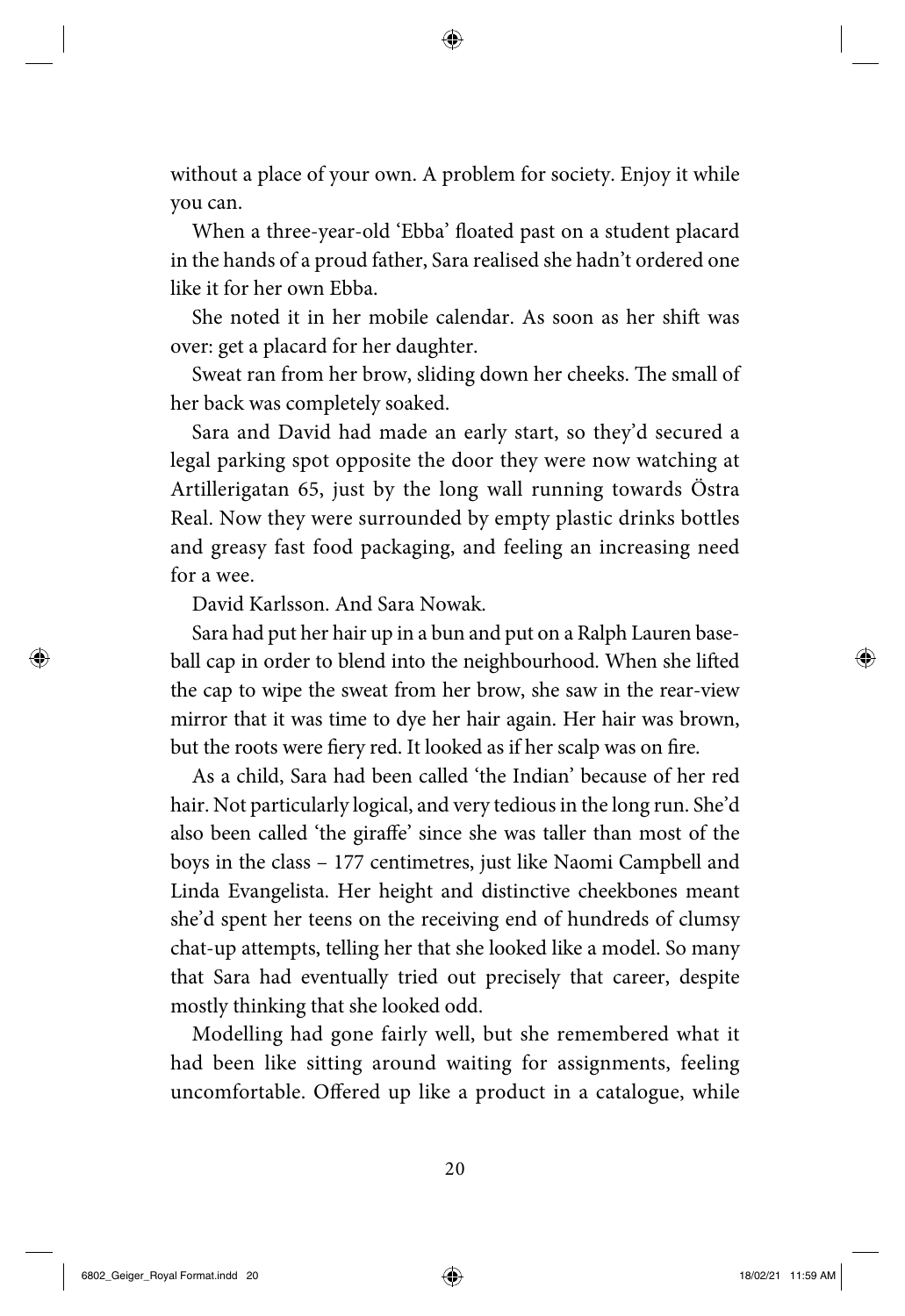without a place of your own. A problem for society. Enjoy it while you can.

⊕

When a three-year-old 'Ebba' floated past on a student placard in the hands of a proud father, Sara realised she hadn't ordered one like it for her own Ebba.

She noted it in her mobile calendar. As soon as her shift was over: get a placard for her daughter.

Sweat ran from her brow, sliding down her cheeks. The small of her back was completely soaked.

Sara and David had made an early start, so they'd secured a legal parking spot opposite the door they were now watching at Artillerigatan 65, just by the long wall running towards Östra Real. Now they were surrounded by empty plastic drinks bottles and greasy fast food packaging, and feeling an increasing need for a wee.

David Karlsson. And Sara Nowak.

Sara had put her hair up in a bun and put on a Ralph Lauren baseball cap in order to blend into the neighbourhood. When she lifted the cap to wipe the sweat from her brow, she saw in the rear-view mirror that it was time to dye her hair again. Her hair was brown, but the roots were fiery red. It looked as if her scalp was on fire.

As a child, Sara had been called 'the Indian' because of her red hair. Not particularly logical, and very tedious in the long run. She'd also been called 'the giraffe' since she was taller than most of the boys in the class – 177 centimetres, just like Naomi Campbell and Linda Evangelista. Her height and distinctive cheekbones meant she'd spent her teens on the receiving end of hundreds of clumsy chat-up attempts, telling her that she looked like a model. So many that Sara had eventually tried out precisely that career, despite mostly thinking that she looked odd.

Modelling had gone fairly well, but she remembered what it had been like sitting around waiting for assignments, feeling uncomfortable. Offered up like a product in a catalogue, while

⊕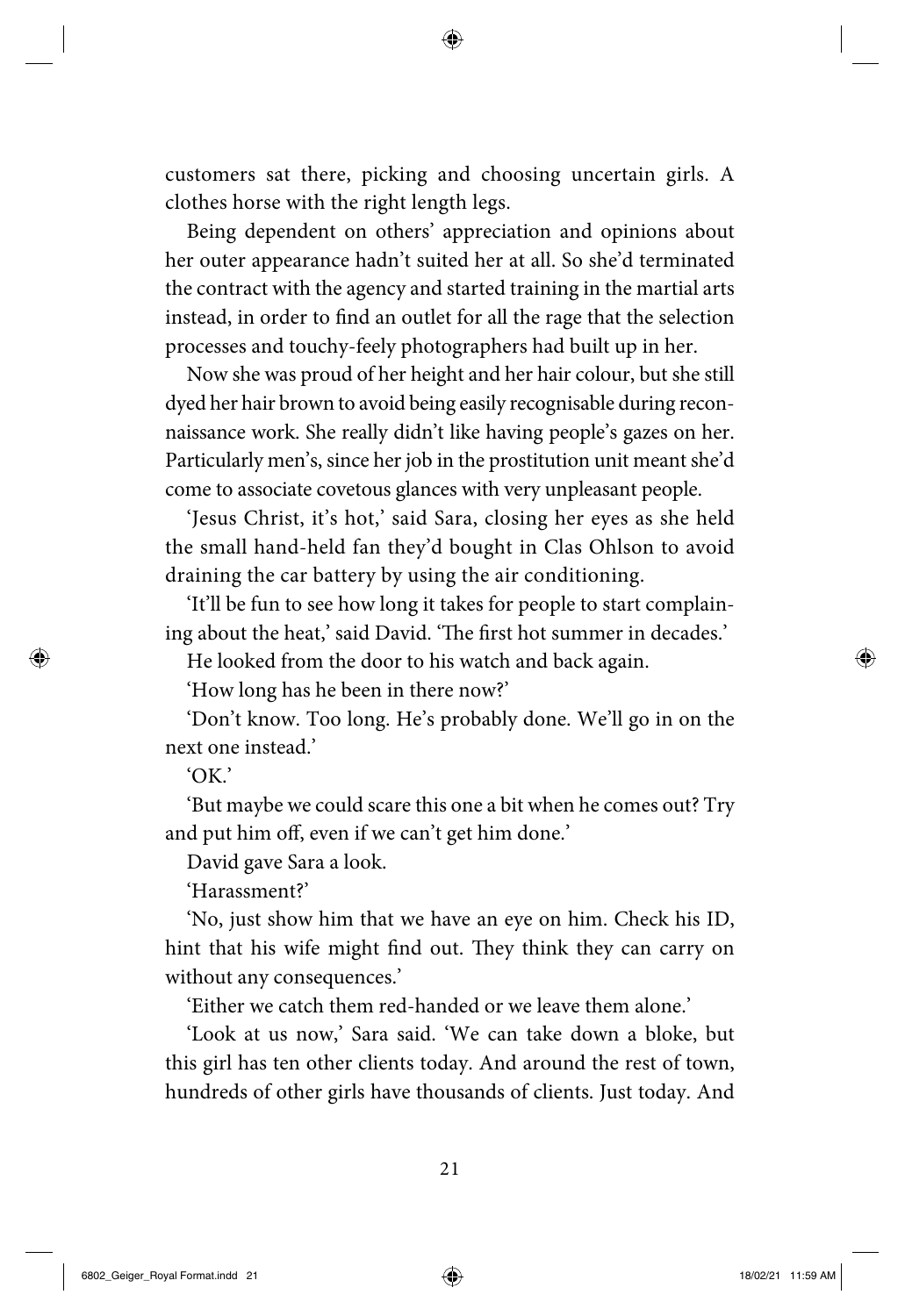customers sat there, picking and choosing uncertain girls. A clothes horse with the right length legs.

◈

Being dependent on others' appreciation and opinions about her outer appearance hadn't suited her at all. So she'd terminated the contract with the agency and started training in the martial arts instead, in order to find an outlet for all the rage that the selection processes and touchy-feely photographers had built up in her.

Now she was proud of her height and her hair colour, but she still dyed her hair brown to avoid being easily recognisable during reconnaissance work. She really didn't like having people's gazes on her. Particularly men's, since her job in the prostitution unit meant she'd come to associate covetous glances with very unpleasant people.

'Jesus Christ, it's hot,' said Sara, closing her eyes as she held the small hand-held fan they'd bought in Clas Ohlson to avoid draining the car battery by using the air conditioning.

'It'll be fun to see how long it takes for people to start complaining about the heat,' said David. 'The first hot summer in decades.'

He looked from the door to his watch and back again.

'How long has he been in there now?'

'Don't know. Too long. He's probably done. We'll go in on the next one instead.'

'OK.'

⊕

'But maybe we could scare this one a bit when he comes out? Try and put him off, even if we can't get him done.'

David gave Sara a look.

'Harassment?'

'No, just show him that we have an eye on him. Check his ID, hint that his wife might find out. They think they can carry on without any consequences.'

'Either we catch them red-handed or we leave them alone.'

'Look at us now,' Sara said. 'We can take down a bloke, but this girl has ten other clients today. And around the rest of town, hundreds of other girls have thousands of clients. Just today. And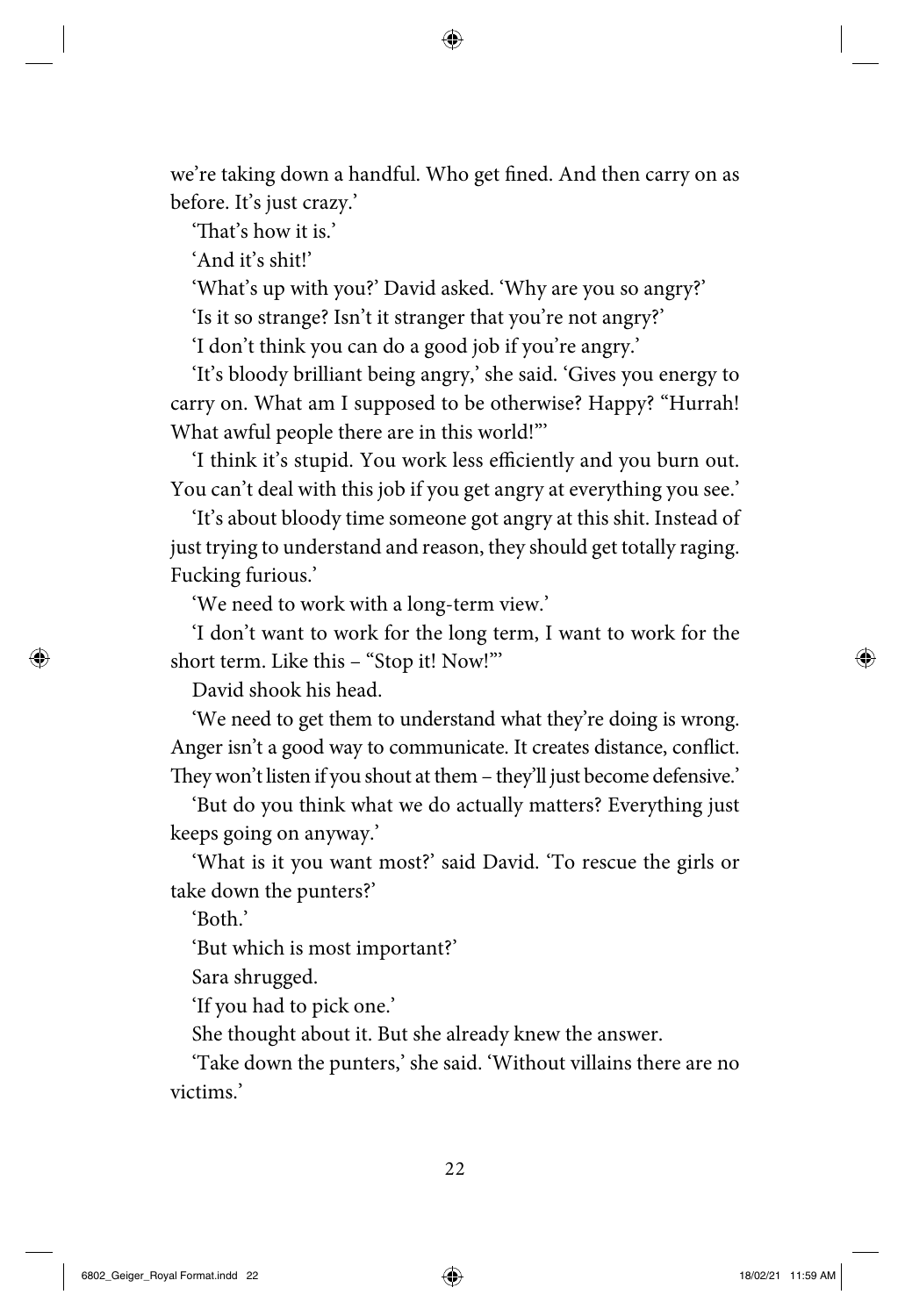we're taking down a handful. Who get fined. And then carry on as before. It's just crazy.'

◈

'Th at's how it is.'

'And it's shit!'

'What's up with you?' David asked. 'Why are you so angry?'

'Is it so strange? Isn't it stranger that you're not angry?'

'I don't think you can do a good job if you're angry.'

'It's bloody brilliant being angry,' she said. 'Gives you energy to carry on. What am I supposed to be otherwise? Happy? "Hurrah! What awful people there are in this world!"'

'I think it's stupid. You work less efficiently and you burn out. You can't deal with this job if you get angry at everything you see.'

'It's about bloody time someone got angry at this shit. Instead of just trying to understand and reason, they should get totally raging. Fucking furious.'

'We need to work with a long-term view.'

'I don't want to work for the long term, I want to work for the short term. Like this – "Stop it! Now!"'

David shook his head.

'We need to get them to understand what they're doing is wrong. Anger isn't a good way to communicate. It creates distance, conflict. They won't listen if you shout at them – they'll just become defensive.'

'But do you think what we do actually matters? Everything just keeps going on anyway.'

'What is it you want most?' said David. 'To rescue the girls or take down the punters?'

'Both.'

⊕

'But which is most important?'

Sara shrugged.

'If you had to pick one.'

She thought about it. But she already knew the answer.

'Take down the punters,' she said. 'Without villains there are no victims.'

6802\_Geiger\_Royal Format.indd 22 802\_Geiger\_Royal Format.indd 22 802\_Geiger\_Royal 11:59 AM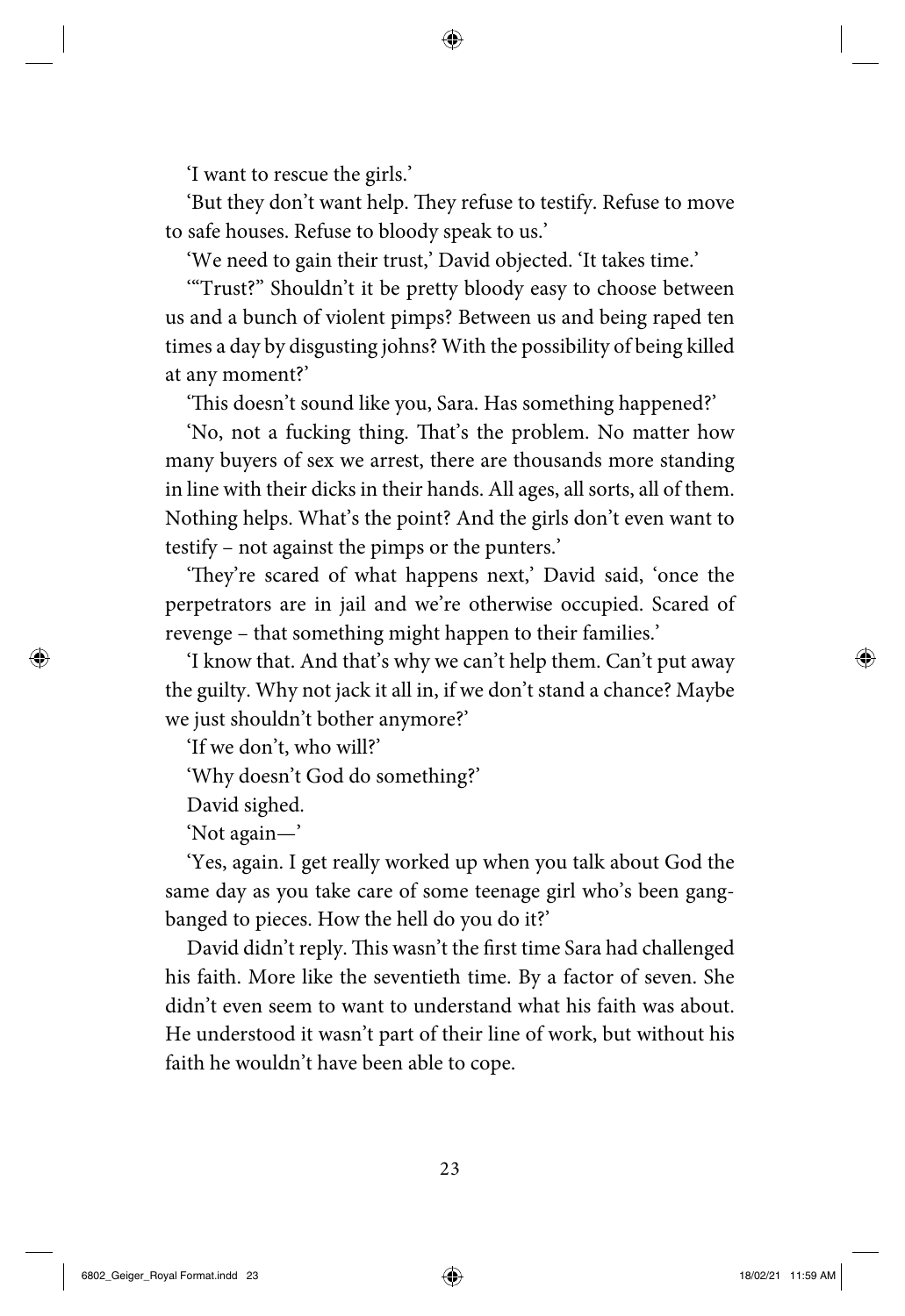'I want to rescue the girls.'

'But they don't want help. They refuse to testify. Refuse to move to safe houses. Refuse to bloody speak to us.'

◈

'We need to gain their trust,' David objected. 'It takes time.'

'"Trust?" Shouldn't it be pretty bloody easy to choose between us and a bunch of violent pimps? Between us and being raped ten times a day by disgusting johns? With the possibility of being killed at any moment?'

"This doesn't sound like you, Sara. Has something happened?"

'No, not a fucking thing. That's the problem. No matter how many buyers of sex we arrest, there are thousands more standing in line with their dicks in their hands. All ages, all sorts, all of them. Nothing helps. What's the point? And the girls don't even want to testify – not against the pimps or the punters.'

'Th ey're scared of what happens next,' David said, 'once the perpetrators are in jail and we're otherwise occupied. Scared of revenge – that something might happen to their families.'

'I know that. And that's why we can't help them. Can't put away the guilty. Why not jack it all in, if we don't stand a chance? Maybe we just shouldn't bother anymore?'

'If we don't, who will?'

'Why doesn't God do something?'

David sighed.

 $\bigcirc$ 

'Not again—'

'Yes, again. I get really worked up when you talk about God the same day as you take care of some teenage girl who's been gangbanged to pieces. How the hell do you do it?'

David didn't reply. This wasn't the first time Sara had challenged his faith. More like the seventieth time. By a factor of seven. She didn't even seem to want to understand what his faith was about. He understood it wasn't part of their line of work, but without his faith he wouldn't have been able to cope.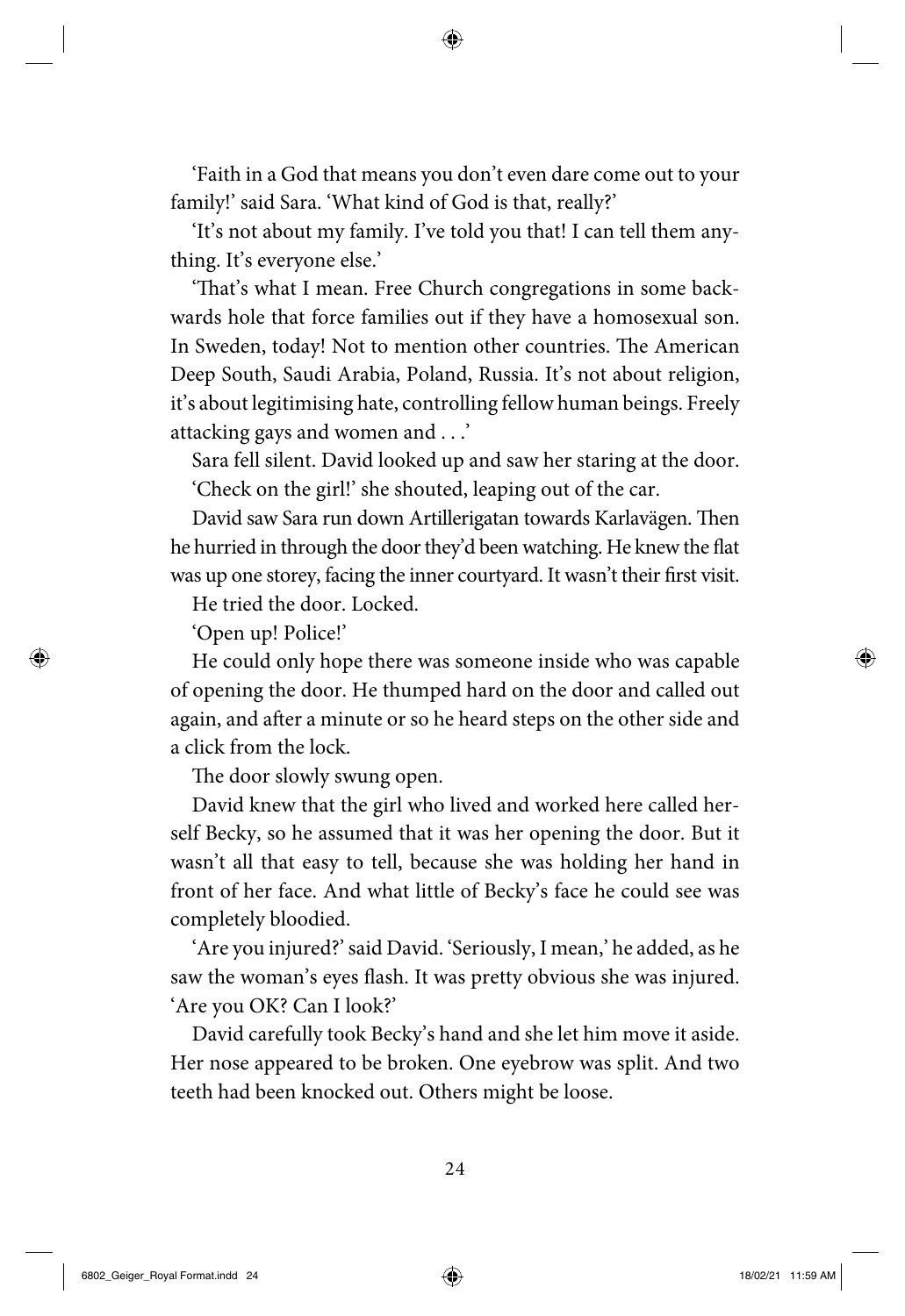'Faith in a God that means you don't even dare come out to your family!' said Sara. 'What kind of God is that, really?'

◈

'It's not about my family. I've told you that! I can tell them anything. It's everyone else.'

'Th at's what I mean. Free Church congregations in some backwards hole that force families out if they have a homosexual son. In Sweden, today! Not to mention other countries. The American Deep South, Saudi Arabia, Poland, Russia. It's not about religion, it's about legitimising hate, controlling fellow human beings. Freely attacking gays and women and . . .'

Sara fell silent. David looked up and saw her staring at the door. 'Check on the girl!' she shouted, leaping out of the car.

David saw Sara run down Artillerigatan towards Karlavägen. Then he hurried in through the door they'd been watching. He knew the flat was up one storey, facing the inner courtyard. It wasn't their first visit.

He tried the door. Locked.

'Open up! Police!'

⊕

He could only hope there was someone inside who was capable of opening the door. He thumped hard on the door and called out again, and after a minute or so he heard steps on the other side and a click from the lock.

The door slowly swung open.

David knew that the girl who lived and worked here called herself Becky, so he assumed that it was her opening the door. But it wasn't all that easy to tell, because she was holding her hand in front of her face. And what little of Becky's face he could see was completely bloodied.

'Are you injured?' said David. 'Seriously, I mean,' he added, as he saw the woman's eyes flash. It was pretty obvious she was injured. 'Are you OK? Can I look?'

David carefully took Becky's hand and she let him move it aside. Her nose appeared to be broken. One eyebrow was split. And two teeth had been knocked out. Others might be loose.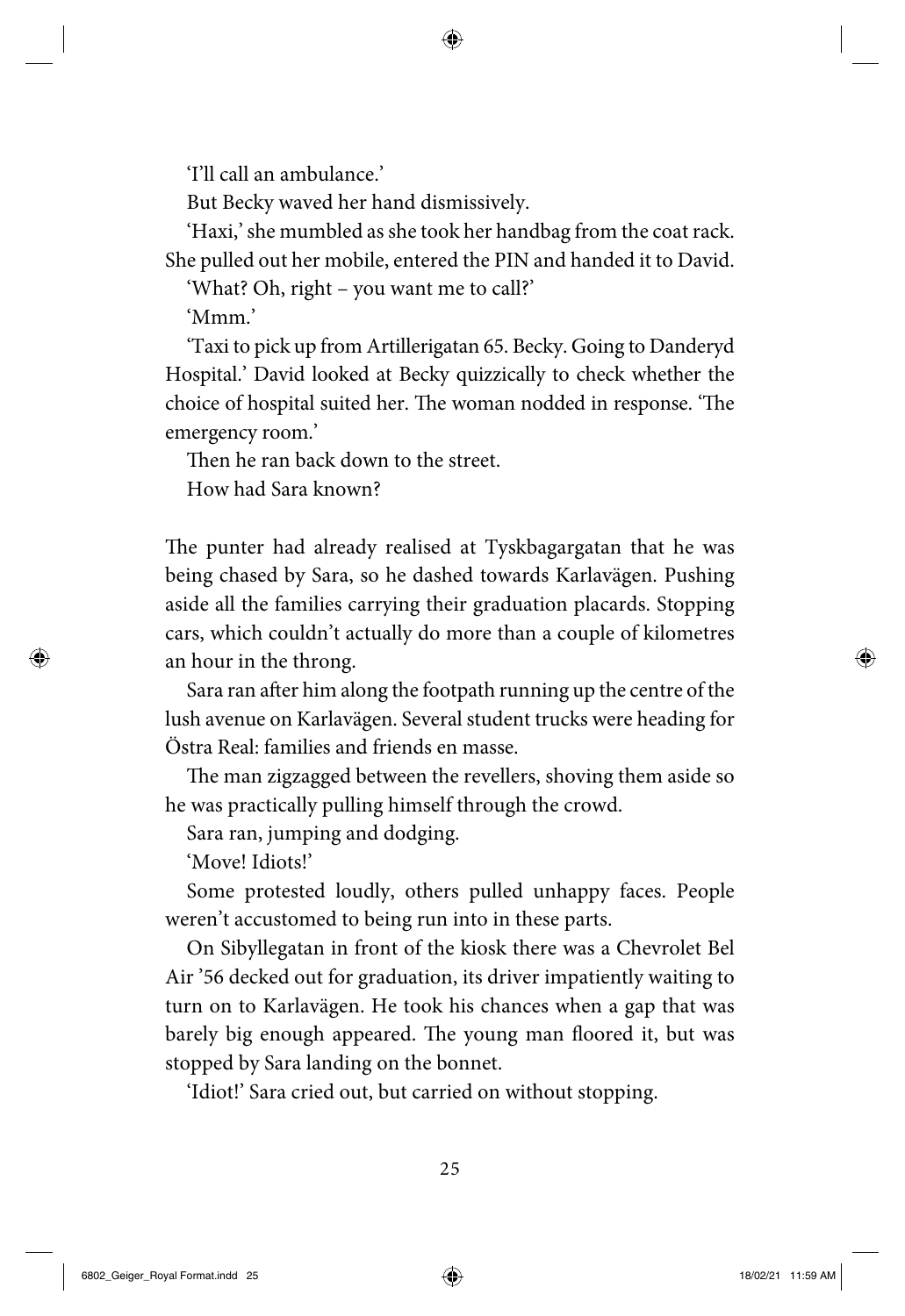'I'll call an ambulance.'

But Becky waved her hand dismissively.

'Haxi,' she mumbled as she took her handbag from the coat rack. She pulled out her mobile, entered the PIN and handed it to David.

◈

'What? Oh, right – you want me to call?'

'Mmm.'

⊕

'Taxi to pick up from Artillerigatan 65. Becky. Going to Danderyd Hospital.' David looked at Becky quizzically to check whether the choice of hospital suited her. The woman nodded in response. The emergency room.'

Then he ran back down to the street. How had Sara known?

The punter had already realised at Tyskbagargatan that he was being chased by Sara, so he dashed towards Karlavägen. Pushing aside all the families carrying their graduation placards. Stopping cars, which couldn't actually do more than a couple of kilometres an hour in the throng.

Sara ran after him along the footpath running up the centre of the lush avenue on Karlavägen. Several student trucks were heading for Östra Real: families and friends en masse.

The man zigzagged between the revellers, shoving them aside so he was practically pulling himself through the crowd.

Sara ran, jumping and dodging.

'Move! Idiots!'

Some protested loudly, others pulled unhappy faces. People weren't accustomed to being run into in these parts.

On Sibyllegatan in front of the kiosk there was a Chevrolet Bel Air '56 decked out for graduation, its driver impatiently waiting to turn on to Karlavägen. He took his chances when a gap that was barely big enough appeared. The young man floored it, but was stopped by Sara landing on the bonnet.

'Idiot!' Sara cried out, but carried on without stopping.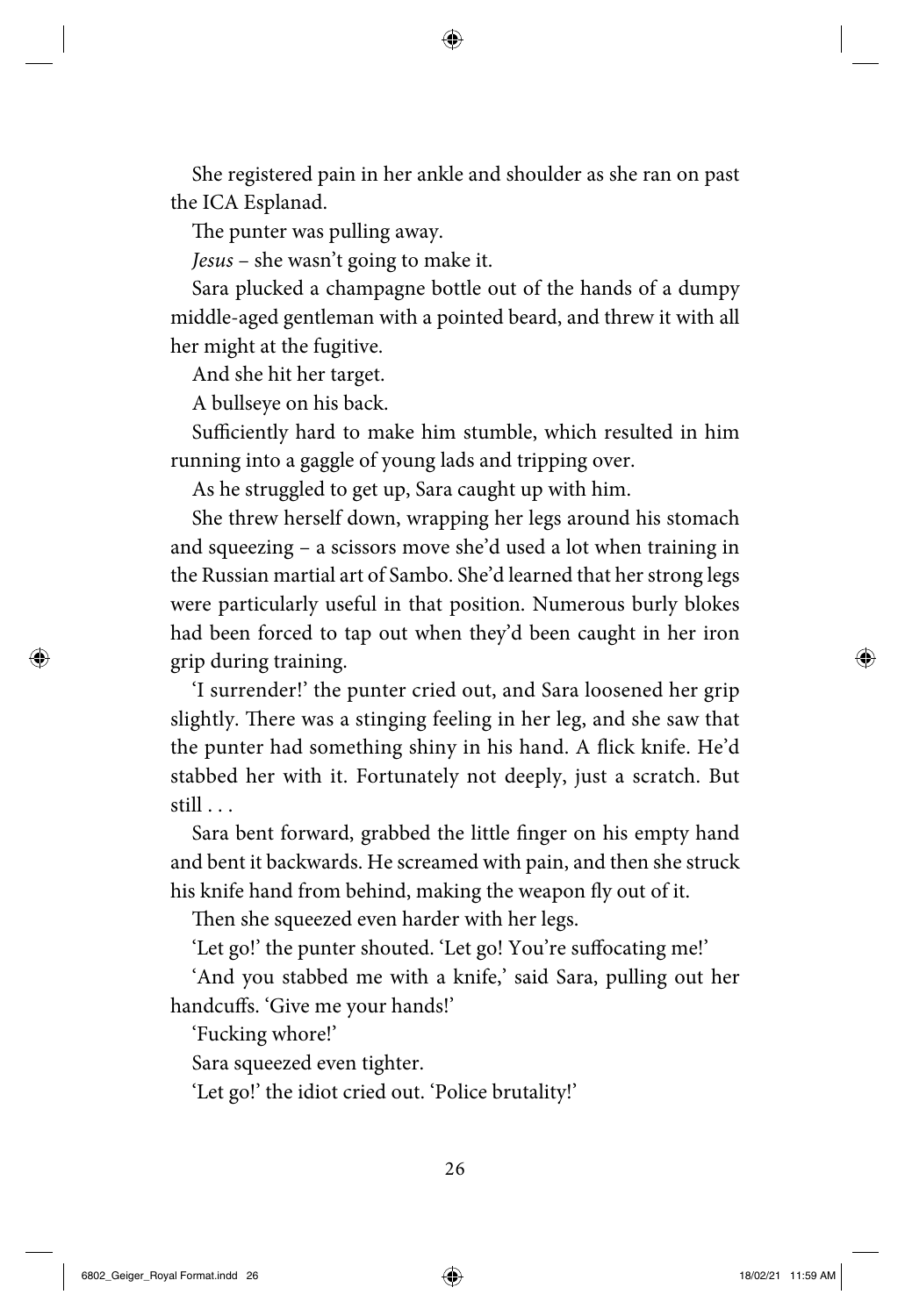She registered pain in her ankle and shoulder as she ran on past the ICA Esplanad.

⊕

The punter was pulling away.

*Jesus* – she wasn't going to make it.

Sara plucked a champagne bottle out of the hands of a dumpy middle-aged gentleman with a pointed beard, and threw it with all her might at the fugitive.

And she hit her target.

A bullseye on his back.

Sufficiently hard to make him stumble, which resulted in him running into a gaggle of young lads and tripping over.

As he struggled to get up, Sara caught up with him.

She threw herself down, wrapping her legs around his stomach and squeezing – a scissors move she'd used a lot when training in the Russian martial art of Sambo. She'd learned that her strong legs were particularly useful in that position. Numerous burly blokes had been forced to tap out when they'd been caught in her iron grip during training.

'I surrender!' the punter cried out, and Sara loosened her grip slightly. There was a stinging feeling in her leg, and she saw that the punter had something shiny in his hand. A flick knife. He'd stabbed her with it. Fortunately not deeply, just a scratch. But still . . .

Sara bent forward, grabbed the little finger on his empty hand and bent it backwards. He screamed with pain, and then she struck his knife hand from behind, making the weapon fly out of it.

Then she squeezed even harder with her legs.

'Let go!' the punter shouted. 'Let go! You're suffocating me!'

'And you stabbed me with a knife,' said Sara, pulling out her handcuffs. 'Give me your hands!'

'Fucking whore!'

Sara squeezed even tighter.

'Let go!' the idiot cried out. 'Police brutality!'

⊕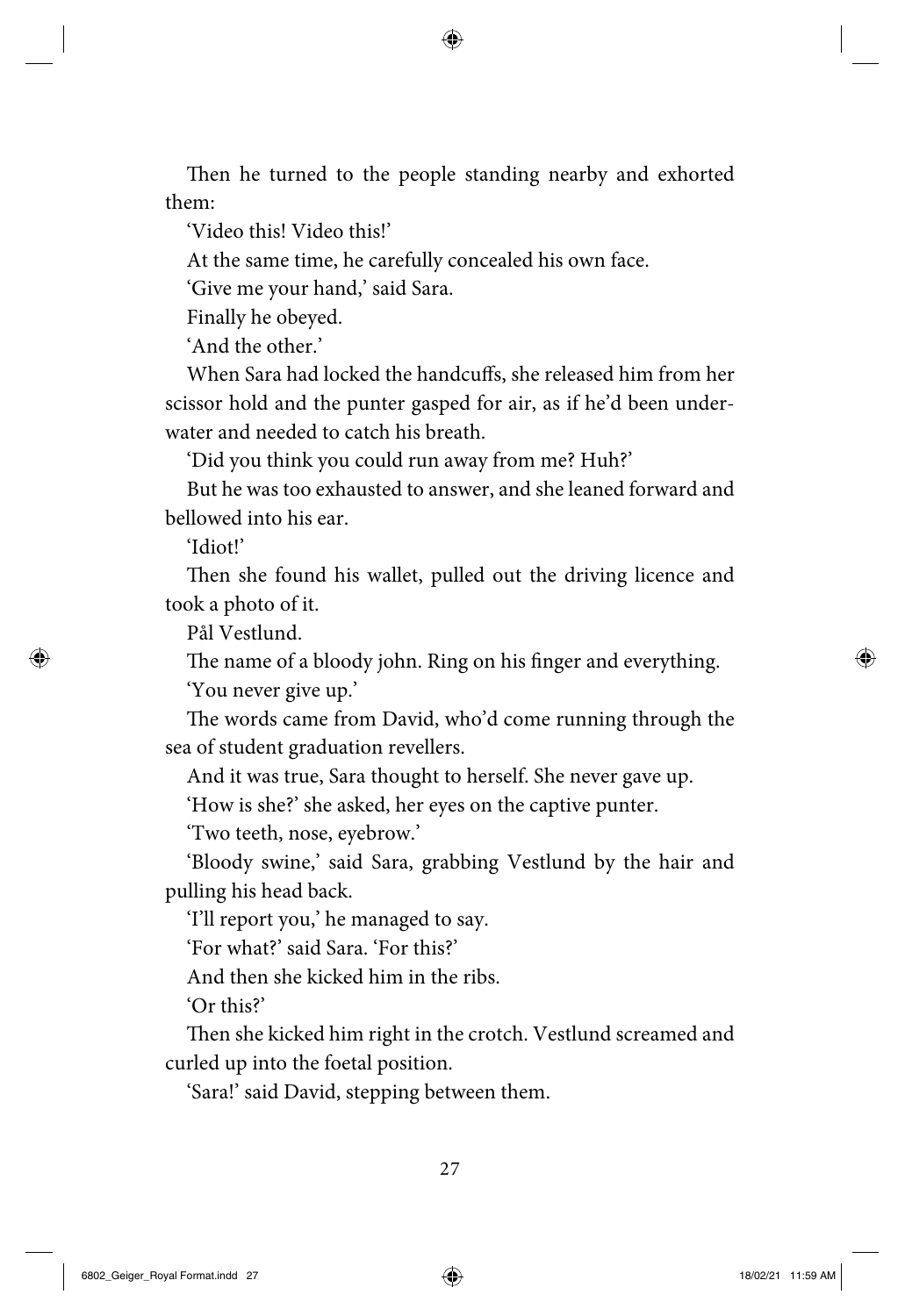Then he turned to the people standing nearby and exhorted them:

◈

'Video this! Video this!'

At the same time, he carefully concealed his own face.

'Give me your hand,' said Sara.

Finally he obeyed.

'And the other.'

When Sara had locked the handcuffs, she released him from her scissor hold and the punter gasped for air, as if he'd been underwater and needed to catch his breath.

'Did you think you could run away from me? Huh?'

But he was too exhausted to answer, and she leaned forward and bellowed into his ear.

'Idiot!'

⊕

Then she found his wallet, pulled out the driving licence and took a photo of it.

Pål Vestlund.

The name of a bloody john. Ring on his finger and everything. 'You never give up.'

The words came from David, who'd come running through the sea of student graduation revellers.

And it was true, Sara thought to herself. She never gave up.

'How is she?' she asked, her eyes on the captive punter.

'Two teeth, nose, eyebrow.'

'Bloody swine,' said Sara, grabbing Vestlund by the hair and pulling his head back.

'I'll report you,' he managed to say.

'For what?' said Sara. 'For this?'

And then she kicked him in the ribs.

'Or this?'

Then she kicked him right in the crotch. Vestlund screamed and curled up into the foetal position.

'Sara!' said David, stepping between them.

↔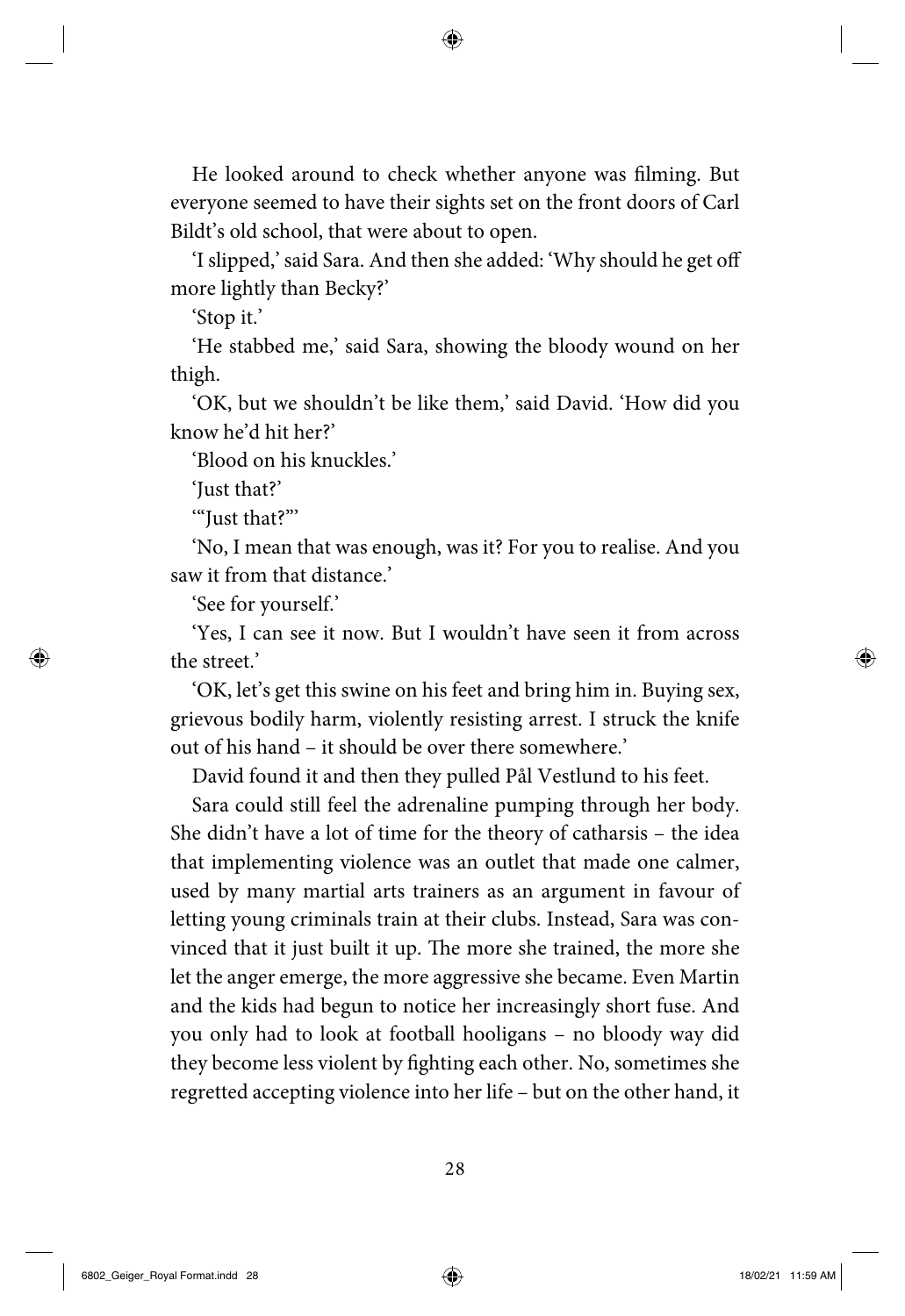He looked around to check whether anyone was filming. But everyone seemed to have their sights set on the front doors of Carl Bildt's old school, that were about to open.

◈

'I slipped,' said Sara. And then she added: 'Why should he get off more lightly than Becky?'

'Stop it.'

'He stabbed me,' said Sara, showing the bloody wound on her thigh.

'OK, but we shouldn't be like them,' said David. 'How did you know he'd hit her?'

'Blood on his knuckles.'

'Just that?'

⊕

'"Just that?"'

'No, I mean that was enough, was it? For you to realise. And you saw it from that distance.'

'See for yourself.'

'Yes, I can see it now. But I wouldn't have seen it from across the street.'

'OK, let's get this swine on his feet and bring him in. Buying sex, grievous bodily harm, violently resisting arrest. I struck the knife out of his hand – it should be over there somewhere.'

David found it and then they pulled Pål Vestlund to his feet.

Sara could still feel the adrenaline pumping through her body. She didn't have a lot of time for the theory of catharsis – the idea that implementing violence was an outlet that made one calmer, used by many martial arts trainers as an argument in favour of letting young criminals train at their clubs. Instead, Sara was convinced that it just built it up. The more she trained, the more she let the anger emerge, the more aggressive she became. Even Martin and the kids had begun to notice her increasingly short fuse. And you only had to look at football hooligans – no bloody way did they become less violent by fighting each other. No, sometimes she regretted accepting violence into her life – but on the other hand, it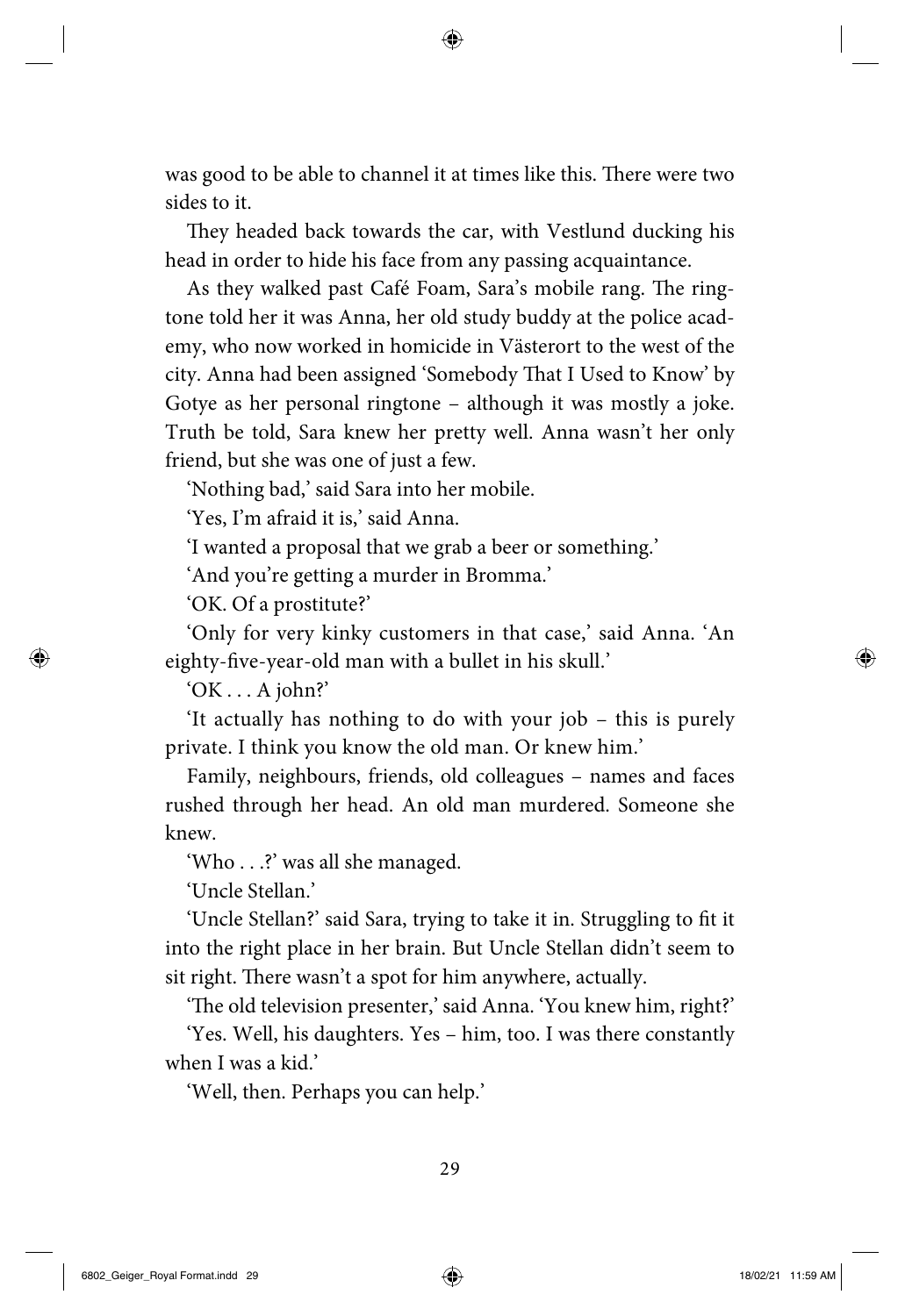was good to be able to channel it at times like this. There were two sides to it.

◈

They headed back towards the car, with Vestlund ducking his head in order to hide his face from any passing acquaintance.

As they walked past Café Foam, Sara's mobile rang. The ringtone told her it was Anna, her old study buddy at the police academy, who now worked in homicide in Västerort to the west of the city. Anna had been assigned 'Somebody That I Used to Know' by Gotye as her personal ringtone – although it was mostly a joke. Truth be told, Sara knew her pretty well. Anna wasn't her only friend, but she was one of just a few.

'Nothing bad,' said Sara into her mobile.

'Yes, I'm afraid it is,' said Anna.

'I wanted a proposal that we grab a beer or something.'

'And you're getting a murder in Bromma.'

'OK. Of a prostitute?'

'Only for very kinky customers in that case,' said Anna. 'An eighty-five-year-old man with a bullet in his skull.'

'OK . . . A john?'

⊕

'It actually has nothing to do with your job – this is purely private. I think you know the old man. Or knew him.'

Family, neighbours, friends, old colleagues – names and faces rushed through her head. An old man murdered. Someone she knew.

'Who . . .?' was all she managed.

'Uncle Stellan.'

'Uncle Stellan?' said Sara, trying to take it in. Struggling to fit it into the right place in her brain. But Uncle Stellan didn't seem to sit right. There wasn't a spot for him anywhere, actually.

'The old television presenter,' said Anna. 'You knew him, right?'

'Yes. Well, his daughters. Yes – him, too. I was there constantly when I was a kid.'

'Well, then. Perhaps you can help.'